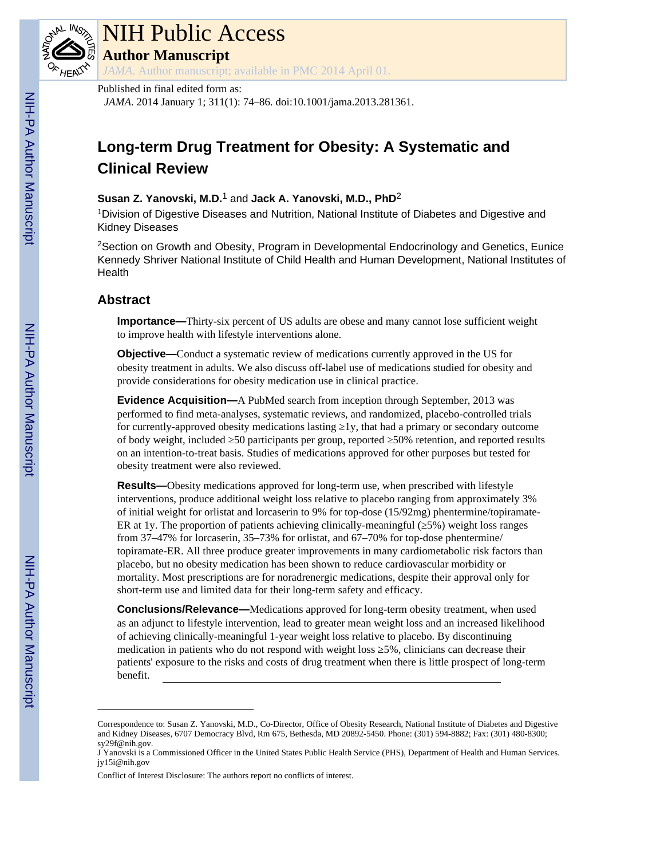

## NIH Public Access

**Author Manuscript**

*JAMA*. Author manuscript; available in PMC 2014 April 01.

#### Published in final edited form as:

*JAMA*. 2014 January 1; 311(1): 74–86. doi:10.1001/jama.2013.281361.

### **Long-term Drug Treatment for Obesity: A Systematic and Clinical Review**

#### **Susan Z. Yanovski, M.D.**1 and **Jack A. Yanovski, M.D., PhD**<sup>2</sup>

<sup>1</sup>Division of Digestive Diseases and Nutrition, National Institute of Diabetes and Digestive and Kidney Diseases

<sup>2</sup>Section on Growth and Obesity, Program in Developmental Endocrinology and Genetics, Eunice Kennedy Shriver National Institute of Child Health and Human Development, National Institutes of **Health** 

#### **Abstract**

**Importance—**Thirty-six percent of US adults are obese and many cannot lose sufficient weight to improve health with lifestyle interventions alone.

**Objective—**Conduct a systematic review of medications currently approved in the US for obesity treatment in adults. We also discuss off-label use of medications studied for obesity and provide considerations for obesity medication use in clinical practice.

**Evidence Acquisition—**A PubMed search from inception through September, 2013 was performed to find meta-analyses, systematic reviews, and randomized, placebo-controlled trials for currently-approved obesity medications lasting  $1y$ , that had a primary or secondary outcome of body weight, included 50 participants per group, reported 50% retention, and reported results on an intention-to-treat basis. Studies of medications approved for other purposes but tested for obesity treatment were also reviewed.

**Results—**Obesity medications approved for long-term use, when prescribed with lifestyle interventions, produce additional weight loss relative to placebo ranging from approximately 3% of initial weight for orlistat and lorcaserin to 9% for top-dose (15/92mg) phentermine/topiramate-ER at 1y. The proportion of patients achieving clinically-meaningful ( 5%) weight loss ranges from 37–47% for lorcaserin, 35–73% for orlistat, and 67–70% for top-dose phentermine/ topiramate-ER. All three produce greater improvements in many cardiometabolic risk factors than placebo, but no obesity medication has been shown to reduce cardiovascular morbidity or mortality. Most prescriptions are for noradrenergic medications, despite their approval only for short-term use and limited data for their long-term safety and efficacy.

**Conclusions/Relevance—**Medications approved for long-term obesity treatment, when used as an adjunct to lifestyle intervention, lead to greater mean weight loss and an increased likelihood of achieving clinically-meaningful 1-year weight loss relative to placebo. By discontinuing medication in patients who do not respond with weight loss 5%, clinicians can decrease their patients' exposure to the risks and costs of drug treatment when there is little prospect of long-term benefit.

Correspondence to: Susan Z. Yanovski, M.D., Co-Director, Office of Obesity Research, National Institute of Diabetes and Digestive and Kidney Diseases, 6707 Democracy Blvd, Rm 675, Bethesda, MD 20892-5450. Phone: (301) 594-8882; Fax: (301) 480-8300; sy29f@nih.gov.

J Yanovski is a Commissioned Officer in the United States Public Health Service (PHS), Department of Health and Human Services. jy15i@nih.gov

Conflict of Interest Disclosure: The authors report no conflicts of interest.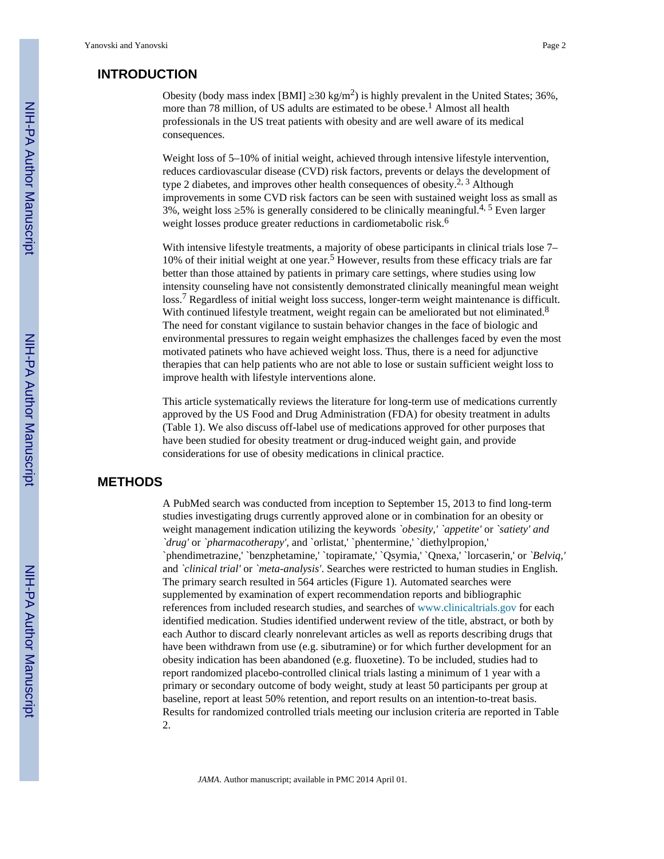#### **INTRODUCTION**

Obesity (body mass index [BMI]  $30 \text{ kg/m}^2$ ) is highly prevalent in the United States; 36%, more than 78 million, of US adults are estimated to be obese.<sup>1</sup> Almost all health professionals in the US treat patients with obesity and are well aware of its medical consequences.

Weight loss of 5–10% of initial weight, achieved through intensive lifestyle intervention, reduces cardiovascular disease (CVD) risk factors, prevents or delays the development of type 2 diabetes, and improves other health consequences of obesity.<sup>2, 3</sup> Although improvements in some CVD risk factors can be seen with sustained weight loss as small as 3%, weight loss  $5\%$  is generally considered to be clinically meaningful.<sup>4, 5</sup> Even larger weight losses produce greater reductions in cardiometabolic risk.<sup>6</sup>

With intensive lifestyle treatments, a majority of obese participants in clinical trials lose 7– 10% of their initial weight at one year.<sup>5</sup> However, results from these efficacy trials are far better than those attained by patients in primary care settings, where studies using low intensity counseling have not consistently demonstrated clinically meaningful mean weight loss.<sup>7</sup> Regardless of initial weight loss success, longer-term weight maintenance is difficult. With continued lifestyle treatment, weight regain can be ameliorated but not eliminated.<sup>8</sup> The need for constant vigilance to sustain behavior changes in the face of biologic and environmental pressures to regain weight emphasizes the challenges faced by even the most motivated patinets who have achieved weight loss. Thus, there is a need for adjunctive therapies that can help patients who are not able to lose or sustain sufficient weight loss to improve health with lifestyle interventions alone.

This article systematically reviews the literature for long-term use of medications currently approved by the US Food and Drug Administration (FDA) for obesity treatment in adults (Table 1). We also discuss off-label use of medications approved for other purposes that have been studied for obesity treatment or drug-induced weight gain, and provide considerations for use of obesity medications in clinical practice.

#### **METHODS**

A PubMed search was conducted from inception to September 15, 2013 to find long-term studies investigating drugs currently approved alone or in combination for an obesity or weight management indication utilizing the keywords *`obesity,' `appetite'* or *`satiety' and `drug'* or *`pharmacotherapy',* and `orlistat,' `phentermine,' `diethylpropion,' `phendimetrazine,' `benzphetamine,' `topiramate,' `Qsymia,' `Qnexa,' `lorcaserin,' or *`Belviq,'* and *`clinical trial'* or *`meta-analysis'*. Searches were restricted to human studies in English. The primary search resulted in 564 articles (Figure 1). Automated searches were supplemented by examination of expert recommendation reports and bibliographic references from included research studies, and searches of [www.clinicaltrials.gov](http://www.clinicaltrials.gov) for each identified medication. Studies identified underwent review of the title, abstract, or both by each Author to discard clearly nonrelevant articles as well as reports describing drugs that have been withdrawn from use (e.g. sibutramine) or for which further development for an obesity indication has been abandoned (e.g. fluoxetine). To be included, studies had to report randomized placebo-controlled clinical trials lasting a minimum of 1 year with a primary or secondary outcome of body weight, study at least 50 participants per group at baseline, report at least 50% retention, and report results on an intention-to-treat basis. Results for randomized controlled trials meeting our inclusion criteria are reported in Table 2.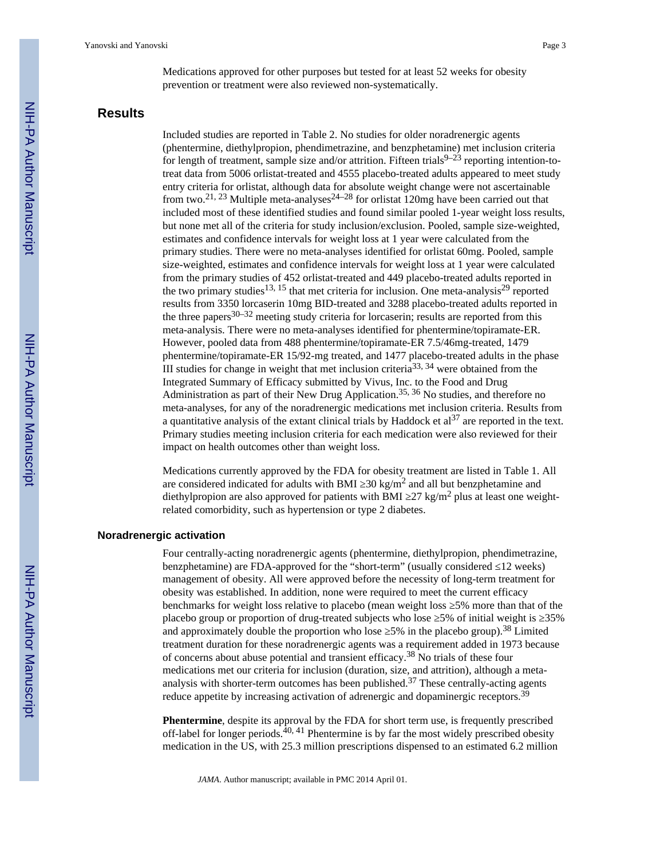Medications approved for other purposes but tested for at least 52 weeks for obesity prevention or treatment were also reviewed non-systematically.

#### **Results**

Included studies are reported in Table 2. No studies for older noradrenergic agents (phentermine, diethylpropion, phendimetrazine, and benzphetamine) met inclusion criteria for length of treatment, sample size and/or attrition. Fifteen trials $9-23$  reporting intention-totreat data from 5006 orlistat-treated and 4555 placebo-treated adults appeared to meet study entry criteria for orlistat, although data for absolute weight change were not ascertainable from two.<sup>21, 23</sup> Multiple meta-analyses<sup>24–28</sup> for orlistat 120mg have been carried out that included most of these identified studies and found similar pooled 1-year weight loss results, but none met all of the criteria for study inclusion/exclusion. Pooled, sample size-weighted, estimates and confidence intervals for weight loss at 1 year were calculated from the primary studies. There were no meta-analyses identified for orlistat 60mg. Pooled, sample size-weighted, estimates and confidence intervals for weight loss at 1 year were calculated from the primary studies of 452 orlistat-treated and 449 placebo-treated adults reported in the two primary studies<sup>13, 15</sup> that met criteria for inclusion. One meta-analysis<sup>29</sup> reported results from 3350 lorcaserin 10mg BID-treated and 3288 placebo-treated adults reported in the three papers $30-32$  meeting study criteria for lorcaserin; results are reported from this meta-analysis. There were no meta-analyses identified for phentermine/topiramate-ER. However, pooled data from 488 phentermine/topiramate-ER 7.5/46mg-treated, 1479 phentermine/topiramate-ER 15/92-mg treated, and 1477 placebo-treated adults in the phase III studies for change in weight that met inclusion criteria<sup>33, 34</sup> were obtained from the Integrated Summary of Efficacy submitted by Vivus, Inc. to the Food and Drug Administration as part of their New Drug Application.<sup>35, 36</sup> No studies, and therefore no meta-analyses, for any of the noradrenergic medications met inclusion criteria. Results from a quantitative analysis of the extant clinical trials by Haddock et  $al<sup>37</sup>$  are reported in the text. Primary studies meeting inclusion criteria for each medication were also reviewed for their impact on health outcomes other than weight loss.

Medications currently approved by the FDA for obesity treatment are listed in Table 1. All are considered indicated for adults with BMI  $30 \text{ kg/m}^2$  and all but benzphetamine and diethylpropion are also approved for patients with BMI  $27 \text{ kg/m}^2$  plus at least one weightrelated comorbidity, such as hypertension or type 2 diabetes.

#### **Noradrenergic activation**

Four centrally-acting noradrenergic agents (phentermine, diethylpropion, phendimetrazine, benzphetamine) are FDA-approved for the "short-term" (usually considered 12 weeks) management of obesity. All were approved before the necessity of long-term treatment for obesity was established. In addition, none were required to meet the current efficacy benchmarks for weight loss relative to placebo (mean weight loss ≥5% more than that of the placebo group or proportion of drug-treated subjects who lose 5% of initial weight is 25% and approximately double the proportion who lose  $5\%$  in the placebo group).<sup>38</sup> Limited treatment duration for these noradrenergic agents was a requirement added in 1973 because of concerns about abuse potential and transient efficacy.38 No trials of these four medications met our criteria for inclusion (duration, size, and attrition), although a metaanalysis with shorter-term outcomes has been published.<sup>37</sup> These centrally-acting agents reduce appetite by increasing activation of adrenergic and dopaminergic receptors.<sup>39</sup>

**Phentermine**, despite its approval by the FDA for short term use, is frequently prescribed off-label for longer periods.<sup>40, 41</sup> Phentermine is by far the most widely prescribed obesity medication in the US, with 25.3 million prescriptions dispensed to an estimated 6.2 million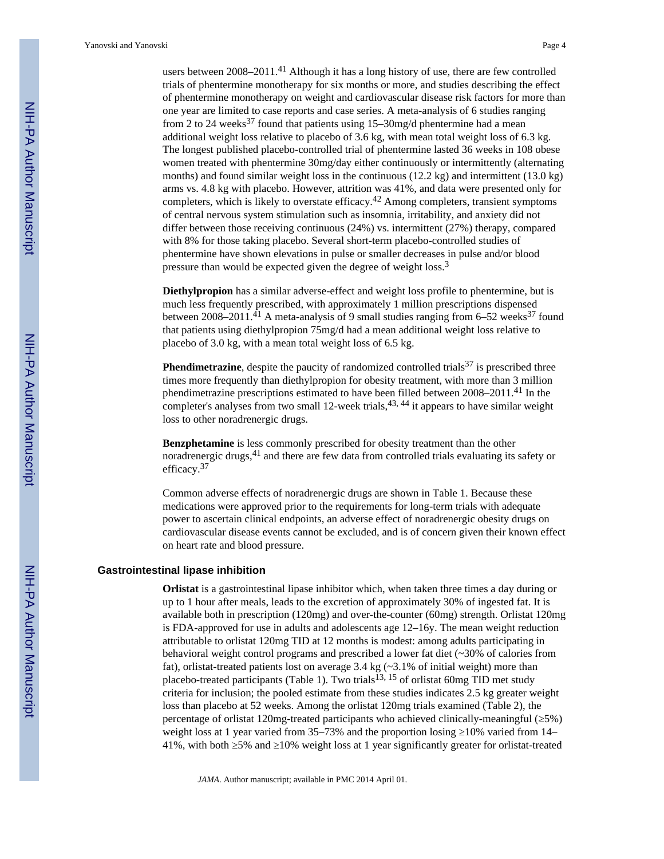users between 2008–2011.<sup>41</sup> Although it has a long history of use, there are few controlled trials of phentermine monotherapy for six months or more, and studies describing the effect of phentermine monotherapy on weight and cardiovascular disease risk factors for more than one year are limited to case reports and case series. A meta-analysis of 6 studies ranging from 2 to 24 weeks<sup>37</sup> found that patients using  $15-30$  mg/d phentermine had a mean additional weight loss relative to placebo of 3.6 kg, with mean total weight loss of 6.3 kg. The longest published placebo-controlled trial of phentermine lasted 36 weeks in 108 obese women treated with phentermine 30mg/day either continuously or intermittently (alternating months) and found similar weight loss in the continuous  $(12.2 \text{ kg})$  and intermittent  $(13.0 \text{ kg})$ arms vs. 4.8 kg with placebo. However, attrition was 41%, and data were presented only for completers, which is likely to overstate efficacy.<sup>42</sup> Among completers, transient symptoms of central nervous system stimulation such as insomnia, irritability, and anxiety did not differ between those receiving continuous (24%) vs. intermittent (27%) therapy, compared with 8% for those taking placebo. Several short-term placebo-controlled studies of phentermine have shown elevations in pulse or smaller decreases in pulse and/or blood pressure than would be expected given the degree of weight loss.<sup>3</sup>

**Diethylpropion** has a similar adverse-effect and weight loss profile to phentermine, but is much less frequently prescribed, with approximately 1 million prescriptions dispensed between 2008–2011.<sup>41</sup> A meta-analysis of 9 small studies ranging from 6–52 weeks<sup>37</sup> found that patients using diethylpropion 75mg/d had a mean additional weight loss relative to placebo of 3.0 kg, with a mean total weight loss of 6.5 kg.

**Phendimetrazine**, despite the paucity of randomized controlled trials<sup>37</sup> is prescribed three times more frequently than diethylpropion for obesity treatment, with more than 3 million phendimetrazine prescriptions estimated to have been filled between 2008–2011.41 In the completer's analyses from two small 12-week trials, $43, 44$  it appears to have similar weight loss to other noradrenergic drugs.

**Benzphetamine** is less commonly prescribed for obesity treatment than the other noradrenergic drugs,<sup>41</sup> and there are few data from controlled trials evaluating its safety or efficacy.<sup>37</sup>

Common adverse effects of noradrenergic drugs are shown in Table 1. Because these medications were approved prior to the requirements for long-term trials with adequate power to ascertain clinical endpoints, an adverse effect of noradrenergic obesity drugs on cardiovascular disease events cannot be excluded, and is of concern given their known effect on heart rate and blood pressure.

#### **Gastrointestinal lipase inhibition**

**Orlistat** is a gastrointestinal lipase inhibitor which, when taken three times a day during or up to 1 hour after meals, leads to the excretion of approximately 30% of ingested fat. It is available both in prescription (120mg) and over-the-counter (60mg) strength. Orlistat 120mg is FDA-approved for use in adults and adolescents age 12–16y. The mean weight reduction attributable to orlistat 120mg TID at 12 months is modest: among adults participating in behavioral weight control programs and prescribed a lower fat diet (~30% of calories from fat), orlistat-treated patients lost on average 3.4 kg (~3.1% of initial weight) more than placebo-treated participants (Table 1). Two trials<sup>13, 15</sup> of orlistat 60mg TID met study criteria for inclusion; the pooled estimate from these studies indicates 2.5 kg greater weight loss than placebo at 52 weeks. Among the orlistat 120mg trials examined (Table 2), the percentage of orlistat 120mg-treated participants who achieved clinically-meaningful (≥5%) weight loss at 1 year varied from 35–73% and the proportion losing  $10\%$  varied from 14– 41%, with both 5% and 20% weight loss at 1 year significantly greater for orlistat-treated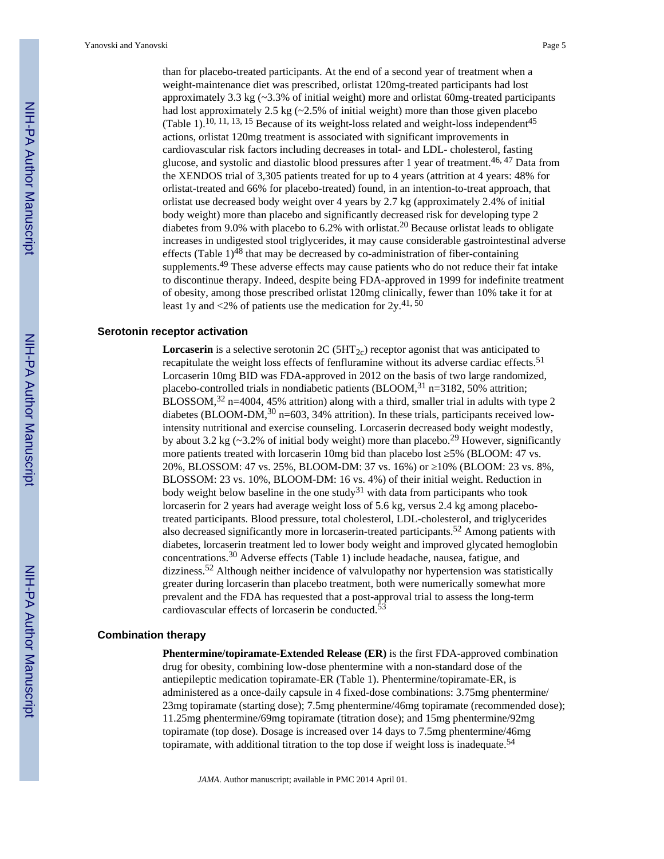than for placebo-treated participants. At the end of a second year of treatment when a weight-maintenance diet was prescribed, orlistat 120mg-treated participants had lost approximately 3.3 kg  $\left(\sim 3.3\% \text{ of initial weight}\right)$  more and orlistat 60mg-treated participants had lost approximately 2.5 kg  $\left(\sim 2.5\% \text{ of initial weight}\right)$  more than those given placebo (Table 1).<sup>10, 11, 13, 15</sup> Because of its weight-loss related and weight-loss independent<sup>45</sup> actions, orlistat 120mg treatment is associated with significant improvements in cardiovascular risk factors including decreases in total- and LDL- cholesterol, fasting glucose, and systolic and diastolic blood pressures after 1 year of treatment.<sup>46, 47</sup> Data from the XENDOS trial of 3,305 patients treated for up to 4 years (attrition at 4 years: 48% for orlistat-treated and 66% for placebo-treated) found, in an intention-to-treat approach, that orlistat use decreased body weight over 4 years by 2.7 kg (approximately 2.4% of initial body weight) more than placebo and significantly decreased risk for developing type 2 diabetes from 9.0% with placebo to 6.2% with orlistat.<sup>20</sup> Because orlistat leads to obligate increases in undigested stool triglycerides, it may cause considerable gastrointestinal adverse effects (Table  $1$ )<sup>48</sup> that may be decreased by co-administration of fiber-containing supplements.49 These adverse effects may cause patients who do not reduce their fat intake to discontinue therapy. Indeed, despite being FDA-approved in 1999 for indefinite treatment of obesity, among those prescribed orlistat 120mg clinically, fewer than 10% take it for at least 1y and <2% of patients use the medication for  $2y$ .<sup>41, 50</sup>

#### **Serotonin receptor activation**

**Lorcaserin** is a selective serotonin 2C (5HT<sub>2c</sub>) receptor agonist that was anticipated to recapitulate the weight loss effects of fenfluramine without its adverse cardiac effects.<sup>51</sup> Lorcaserin 10mg BID was FDA-approved in 2012 on the basis of two large randomized, placebo-controlled trials in nondiabetic patients  $(BLOOM, <sup>31</sup> n=3182, 50%$  attrition; BLOSSOM,  $32$  n=4004, 45% attrition) along with a third, smaller trial in adults with type 2 diabetes (BLOOM-DM, $30$  n=603, 34% attrition). In these trials, participants received lowintensity nutritional and exercise counseling. Lorcaserin decreased body weight modestly, by about 3.2 kg ( $\sim$ 3.2% of initial body weight) more than placebo.<sup>29</sup> However, significantly more patients treated with lorcaserin 10mg bid than placebo lost 5% (BLOOM: 47 vs. 20%, BLOSSOM: 47 vs. 25%, BLOOM-DM: 37 vs. 16%) or ≥10% (BLOOM: 23 vs. 8%, BLOSSOM: 23 vs. 10%, BLOOM-DM: 16 vs. 4%) of their initial weight. Reduction in body weight below baseline in the one study<sup>31</sup> with data from participants who took lorcaserin for 2 years had average weight loss of 5.6 kg, versus 2.4 kg among placebotreated participants. Blood pressure, total cholesterol, LDL-cholesterol, and triglycerides also decreased significantly more in lorcaserin-treated participants.52 Among patients with diabetes, lorcaserin treatment led to lower body weight and improved glycated hemoglobin concentrations.30 Adverse effects (Table 1) include headache, nausea, fatigue, and dizziness.<sup>52</sup> Although neither incidence of valvulopathy nor hypertension was statistically greater during lorcaserin than placebo treatment, both were numerically somewhat more prevalent and the FDA has requested that a post-approval trial to assess the long-term cardiovascular effects of lorcaserin be conducted.<sup>53</sup>

#### **Combination therapy**

**Phentermine/topiramate-Extended Release (ER)** is the first FDA-approved combination drug for obesity, combining low-dose phentermine with a non-standard dose of the antiepileptic medication topiramate-ER (Table 1). Phentermine/topiramate-ER, is administered as a once-daily capsule in 4 fixed-dose combinations: 3.75mg phentermine/ 23mg topiramate (starting dose); 7.5mg phentermine/46mg topiramate (recommended dose); 11.25mg phentermine/69mg topiramate (titration dose); and 15mg phentermine/92mg topiramate (top dose). Dosage is increased over 14 days to 7.5mg phentermine/46mg topiramate, with additional titration to the top dose if weight loss is inadequate.<sup>54</sup>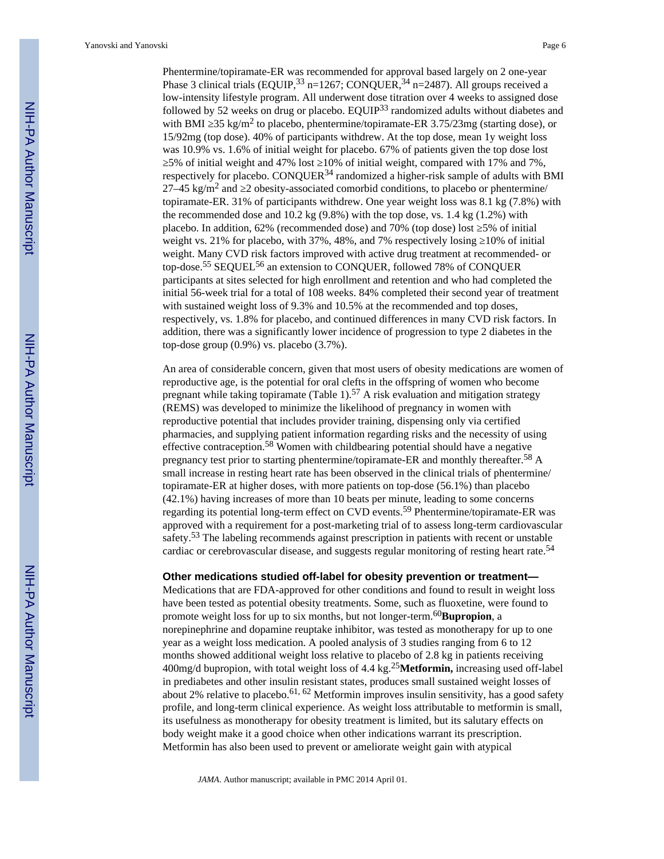Yanovski and Yanovski Page 6

Phentermine/topiramate-ER was recommended for approval based largely on 2 one-year Phase 3 clinical trials (EQUIP,  $33$  n=1267; CONQUER,  $34$  n=2487). All groups received a low-intensity lifestyle program. All underwent dose titration over 4 weeks to assigned dose followed by 52 weeks on drug or placebo.  $EQUIP<sup>33</sup>$  randomized adults without diabetes and with BMI  $35 \text{ kg/m}^2$  to placebo, phentermine/topiramate-ER 3.75/23mg (starting dose), or 15/92mg (top dose). 40% of participants withdrew. At the top dose, mean 1y weight loss was 10.9% vs. 1.6% of initial weight for placebo. 67% of patients given the top dose lost 5% of initial weight and 47% lost  $10\%$  of initial weight, compared with 17% and 7%, respectively for placebo. CONQUER $^{34}$  randomized a higher-risk sample of adults with BMI  $27-45$  kg/m<sup>2</sup> and 2 obesity-associated comorbid conditions, to placebo or phentermine/ topiramate-ER. 31% of participants withdrew. One year weight loss was 8.1 kg (7.8%) with the recommended dose and 10.2 kg (9.8%) with the top dose, vs. 1.4 kg (1.2%) with placebo. In addition, 62% (recommended dose) and 70% (top dose) lost ≥5% of initial weight vs. 21% for placebo, with 37%, 48%, and 7% respectively losing 10% of initial weight. Many CVD risk factors improved with active drug treatment at recommended- or top-dose.<sup>55</sup> SEQUEL<sup>56</sup> an extension to CONQUER, followed 78% of CONQUER participants at sites selected for high enrollment and retention and who had completed the initial 56-week trial for a total of 108 weeks. 84% completed their second year of treatment with sustained weight loss of 9.3% and 10.5% at the recommended and top doses, respectively, vs. 1.8% for placebo, and continued differences in many CVD risk factors. In addition, there was a significantly lower incidence of progression to type 2 diabetes in the top-dose group (0.9%) vs. placebo (3.7%).

An area of considerable concern, given that most users of obesity medications are women of reproductive age, is the potential for oral clefts in the offspring of women who become pregnant while taking topiramate (Table 1).<sup>57</sup> A risk evaluation and mitigation strategy (REMS) was developed to minimize the likelihood of pregnancy in women with reproductive potential that includes provider training, dispensing only via certified pharmacies, and supplying patient information regarding risks and the necessity of using effective contraception.58 Women with childbearing potential should have a negative pregnancy test prior to starting phentermine/topiramate-ER and monthly thereafter.58 A small increase in resting heart rate has been observed in the clinical trials of phentermine/ topiramate-ER at higher doses, with more patients on top-dose (56.1%) than placebo (42.1%) having increases of more than 10 beats per minute, leading to some concerns regarding its potential long-term effect on CVD events.59 Phentermine/topiramate-ER was approved with a requirement for a post-marketing trial of to assess long-term cardiovascular safety.<sup>53</sup> The labeling recommends against prescription in patients with recent or unstable cardiac or cerebrovascular disease, and suggests regular monitoring of resting heart rate.<sup>54</sup>

#### **Other medications studied off-label for obesity prevention or treatment—**

Medications that are FDA-approved for other conditions and found to result in weight loss have been tested as potential obesity treatments. Some, such as fluoxetine, were found to promote weight loss for up to six months, but not longer-term.60**Bupropion**, a norepinephrine and dopamine reuptake inhibitor, was tested as monotherapy for up to one year as a weight loss medication. A pooled analysis of 3 studies ranging from 6 to 12 months showed additional weight loss relative to placebo of 2.8 kg in patients receiving 400mg/d bupropion, with total weight loss of 4.4 kg.25**Metformin,** increasing used off-label in prediabetes and other insulin resistant states, produces small sustained weight losses of about 2% relative to placebo.<sup>61, 62</sup> Metformin improves insulin sensitivity, has a good safety profile, and long-term clinical experience. As weight loss attributable to metformin is small, its usefulness as monotherapy for obesity treatment is limited, but its salutary effects on body weight make it a good choice when other indications warrant its prescription. Metformin has also been used to prevent or ameliorate weight gain with atypical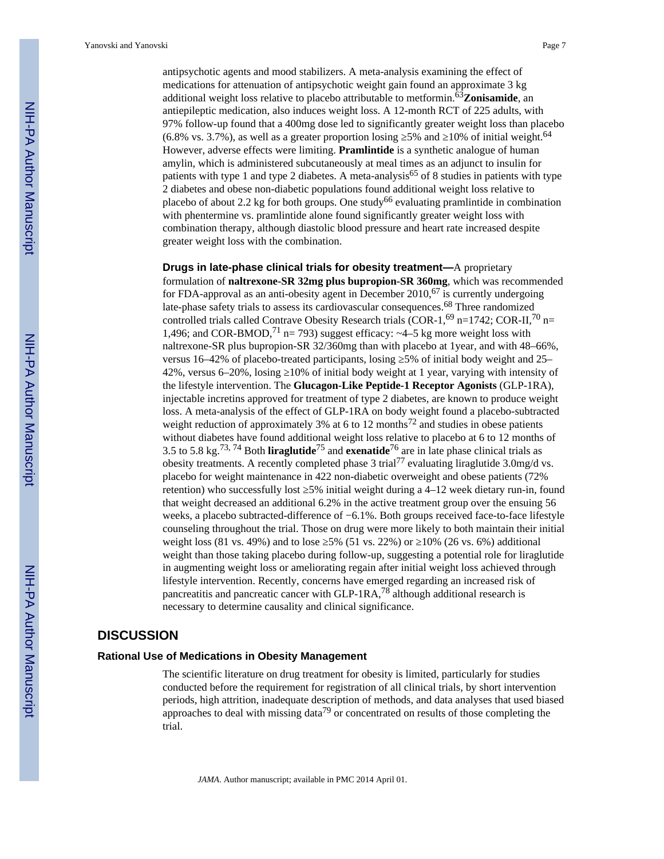antipsychotic agents and mood stabilizers. A meta-analysis examining the effect of medications for attenuation of antipsychotic weight gain found an approximate 3 kg additional weight loss relative to placebo attributable to metformin.63**Zonisamide**, an antiepileptic medication, also induces weight loss. A 12-month RCT of 225 adults, with 97% follow-up found that a 400mg dose led to significantly greater weight loss than placebo (6.8% vs. 3.7%), as well as a greater proportion losing  $5\%$  and  $10\%$  of initial weight.<sup>64</sup> However, adverse effects were limiting. **Pramlintide** is a synthetic analogue of human amylin, which is administered subcutaneously at meal times as an adjunct to insulin for patients with type 1 and type 2 diabetes. A meta-analysis<sup>65</sup> of 8 studies in patients with type 2 diabetes and obese non-diabetic populations found additional weight loss relative to placebo of about 2.2 kg for both groups. One study<sup>66</sup> evaluating pramlintide in combination with phentermine vs. pramlintide alone found significantly greater weight loss with combination therapy, although diastolic blood pressure and heart rate increased despite greater weight loss with the combination.

**Drugs in late-phase clinical trials for obesity treatment—**A proprietary formulation of **naltrexone-SR 32mg plus bupropion-SR 360mg**, which was recommended for FDA-approval as an anti-obesity agent in December  $2010<sup>67</sup>$  is currently undergoing late-phase safety trials to assess its cardiovascular consequences.68 Three randomized controlled trials called Contrave Obesity Research trials (COR-1,<sup>69</sup> n=1742; COR-II,<sup>70</sup> n= 1,496; and COR-BMOD,<sup>71</sup> n= 793) suggest efficacy:  $\sim$ 4–5 kg more weight loss with naltrexone-SR plus bupropion-SR 32/360mg than with placebo at 1year, and with 48–66%, versus 16–42% of placebo-treated participants, losing 5% of initial body weight and 25– 42%, versus 6–20%, losing  $\frac{10\% \text{ of initial body weight at 1 year, varying with intensity of}}{1000 \text{ of the total of the total of the total}}$ the lifestyle intervention. The **Glucagon-Like Peptide-1 Receptor Agonists** (GLP-1RA), injectable incretins approved for treatment of type 2 diabetes, are known to produce weight loss. A meta-analysis of the effect of GLP-1RA on body weight found a placebo-subtracted weight reduction of approximately 3% at 6 to 12 months<sup>72</sup> and studies in obese patients without diabetes have found additional weight loss relative to placebo at 6 to 12 months of 3.5 to 5.8 kg.73, 74 Both **liraglutide**75 and **exenatide**76 are in late phase clinical trials as obesity treatments. A recently completed phase 3 trial77 evaluating liraglutide 3.0mg/d vs. placebo for weight maintenance in 422 non-diabetic overweight and obese patients (72% retention) who successfully lost  $5\%$  initial weight during a 4–12 week dietary run-in, found that weight decreased an additional 6.2% in the active treatment group over the ensuing 56 weeks, a placebo subtracted-difference of −6.1%. Both groups received face-to-face lifestyle counseling throughout the trial. Those on drug were more likely to both maintain their initial weight loss (81 vs. 49%) and to lose  $5\%$  (51 vs. 22%) or  $10\%$  (26 vs. 6%) additional weight than those taking placebo during follow-up, suggesting a potential role for liraglutide in augmenting weight loss or ameliorating regain after initial weight loss achieved through lifestyle intervention. Recently, concerns have emerged regarding an increased risk of pancreatitis and pancreatic cancer with GLP-1RA,78 although additional research is necessary to determine causality and clinical significance.

#### **DISCUSSION**

#### **Rational Use of Medications in Obesity Management**

The scientific literature on drug treatment for obesity is limited, particularly for studies conducted before the requirement for registration of all clinical trials, by short intervention periods, high attrition, inadequate description of methods, and data analyses that used biased approaches to deal with missing data<sup>79</sup> or concentrated on results of those completing the trial.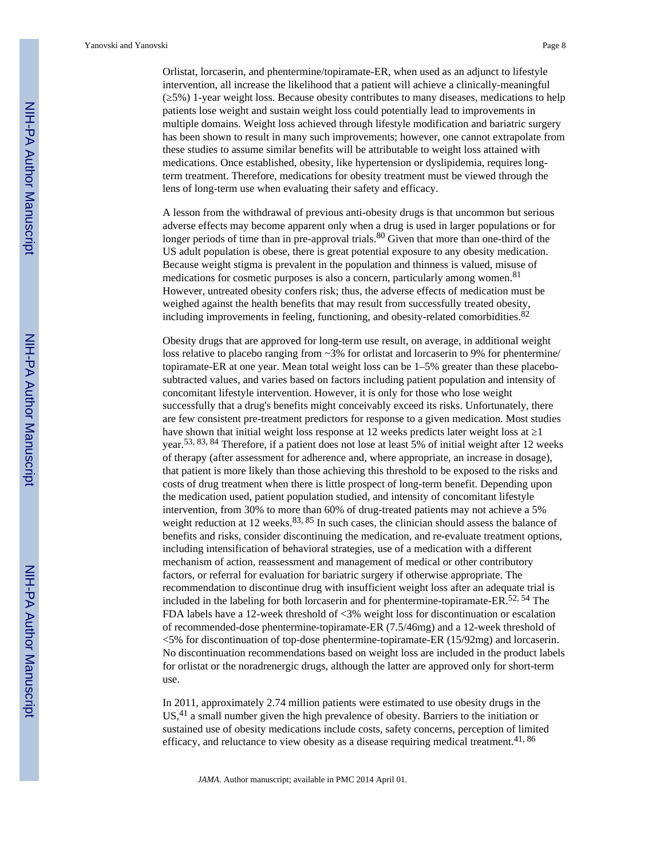Yanovski and Yanovski Page 8

Orlistat, lorcaserin, and phentermine/topiramate-ER, when used as an adjunct to lifestyle intervention, all increase the likelihood that a patient will achieve a clinically-meaningful (≥5%) 1-year weight loss. Because obesity contributes to many diseases, medications to help patients lose weight and sustain weight loss could potentially lead to improvements in multiple domains. Weight loss achieved through lifestyle modification and bariatric surgery has been shown to result in many such improvements; however, one cannot extrapolate from these studies to assume similar benefits will be attributable to weight loss attained with medications. Once established, obesity, like hypertension or dyslipidemia, requires longterm treatment. Therefore, medications for obesity treatment must be viewed through the lens of long-term use when evaluating their safety and efficacy.

A lesson from the withdrawal of previous anti-obesity drugs is that uncommon but serious adverse effects may become apparent only when a drug is used in larger populations or for longer periods of time than in pre-approval trials.<sup>80</sup> Given that more than one-third of the US adult population is obese, there is great potential exposure to any obesity medication. Because weight stigma is prevalent in the population and thinness is valued, misuse of medications for cosmetic purposes is also a concern, particularly among women.<sup>81</sup> However, untreated obesity confers risk; thus, the adverse effects of medication must be weighed against the health benefits that may result from successfully treated obesity, including improvements in feeling, functioning, and obesity-related comorbidities.<sup>82</sup>

Obesity drugs that are approved for long-term use result, on average, in additional weight loss relative to placebo ranging from ~3% for orlistat and lorcaserin to 9% for phentermine/ topiramate-ER at one year. Mean total weight loss can be 1–5% greater than these placebosubtracted values, and varies based on factors including patient population and intensity of concomitant lifestyle intervention. However, it is only for those who lose weight successfully that a drug's benefits might conceivably exceed its risks. Unfortunately, there are few consistent pre-treatment predictors for response to a given medication. Most studies have shown that initial weight loss response at  $12$  weeks predicts later weight loss at  $1$ year.53, 83, 84 Therefore, if a patient does not lose at least 5% of initial weight after 12 weeks of therapy (after assessment for adherence and, where appropriate, an increase in dosage), that patient is more likely than those achieving this threshold to be exposed to the risks and costs of drug treatment when there is little prospect of long-term benefit. Depending upon the medication used, patient population studied, and intensity of concomitant lifestyle intervention, from 30% to more than 60% of drug-treated patients may not achieve a 5% weight reduction at 12 weeks.  $83, 85$  In such cases, the clinician should assess the balance of benefits and risks, consider discontinuing the medication, and re-evaluate treatment options, including intensification of behavioral strategies, use of a medication with a different mechanism of action, reassessment and management of medical or other contributory factors, or referral for evaluation for bariatric surgery if otherwise appropriate. The recommendation to discontinue drug with insufficient weight loss after an adequate trial is included in the labeling for both lorcaserin and for phentermine-topiramate-ER.<sup>52, 54</sup> The FDA labels have a 12-week threshold of <3% weight loss for discontinuation or escalation of recommended-dose phentermine-topiramate-ER (7.5/46mg) and a 12-week threshold of <5% for discontinuation of top-dose phentermine-topiramate-ER (15/92mg) and lorcaserin. No discontinuation recommendations based on weight loss are included in the product labels for orlistat or the noradrenergic drugs, although the latter are approved only for short-term use.

In 2011, approximately 2.74 million patients were estimated to use obesity drugs in the US,41 a small number given the high prevalence of obesity. Barriers to the initiation or sustained use of obesity medications include costs, safety concerns, perception of limited efficacy, and reluctance to view obesity as a disease requiring medical treatment.<sup>41, 86</sup>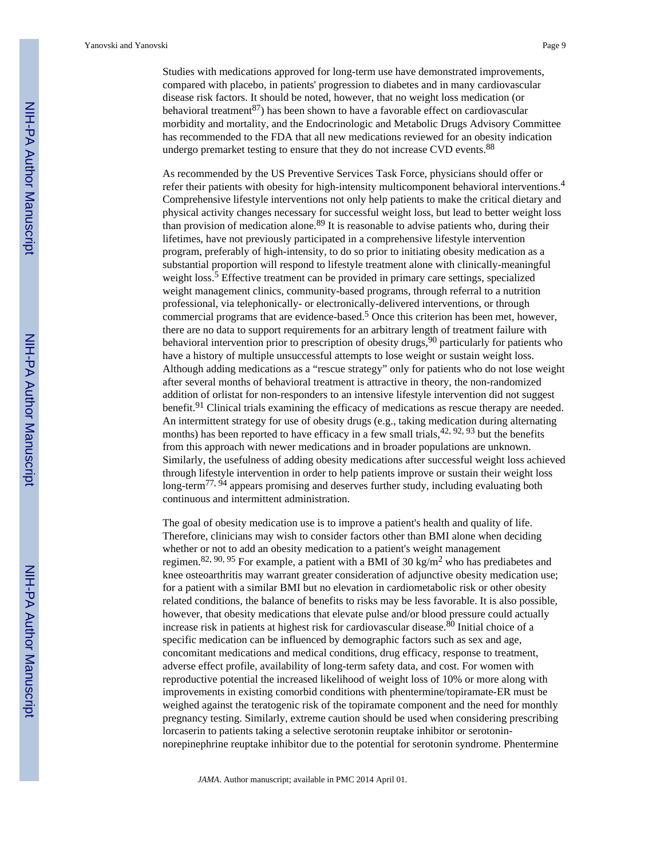Yanovski and Yanovski Page 9

Studies with medications approved for long-term use have demonstrated improvements, compared with placebo, in patients' progression to diabetes and in many cardiovascular disease risk factors. It should be noted, however, that no weight loss medication (or behavioral treatment<sup>87</sup>) has been shown to have a favorable effect on cardiovascular morbidity and mortality, and the Endocrinologic and Metabolic Drugs Advisory Committee has recommended to the FDA that all new medications reviewed for an obesity indication undergo premarket testing to ensure that they do not increase CVD events.<sup>88</sup>

As recommended by the US Preventive Services Task Force, physicians should offer or refer their patients with obesity for high-intensity multicomponent behavioral interventions.<sup>4</sup> Comprehensive lifestyle interventions not only help patients to make the critical dietary and physical activity changes necessary for successful weight loss, but lead to better weight loss than provision of medication alone.<sup>89</sup> It is reasonable to advise patients who, during their lifetimes, have not previously participated in a comprehensive lifestyle intervention program, preferably of high-intensity, to do so prior to initiating obesity medication as a substantial proportion will respond to lifestyle treatment alone with clinically-meaningful weight loss.<sup>5</sup> Effective treatment can be provided in primary care settings, specialized weight management clinics, community-based programs, through referral to a nutrition professional, via telephonically- or electronically-delivered interventions, or through commercial programs that are evidence-based.<sup>5</sup> Once this criterion has been met, however, there are no data to support requirements for an arbitrary length of treatment failure with behavioral intervention prior to prescription of obesity drugs,<sup>90</sup> particularly for patients who have a history of multiple unsuccessful attempts to lose weight or sustain weight loss. Although adding medications as a "rescue strategy" only for patients who do not lose weight after several months of behavioral treatment is attractive in theory, the non-randomized addition of orlistat for non-responders to an intensive lifestyle intervention did not suggest benefit.<sup>91</sup> Clinical trials examining the efficacy of medications as rescue therapy are needed. An intermittent strategy for use of obesity drugs (e.g., taking medication during alternating months) has been reported to have efficacy in a few small trials,  $42, 92, 93$  but the benefits from this approach with newer medications and in broader populations are unknown. Similarly, the usefulness of adding obesity medications after successful weight loss achieved through lifestyle intervention in order to help patients improve or sustain their weight loss long-term<sup>77, 94</sup> appears promising and deserves further study, including evaluating both continuous and intermittent administration.

The goal of obesity medication use is to improve a patient's health and quality of life. Therefore, clinicians may wish to consider factors other than BMI alone when deciding whether or not to add an obesity medication to a patient's weight management regimen.<sup>82, 90, 95</sup> For example, a patient with a BMI of 30 kg/m<sup>2</sup> who has prediabetes and knee osteoarthritis may warrant greater consideration of adjunctive obesity medication use; for a patient with a similar BMI but no elevation in cardiometabolic risk or other obesity related conditions, the balance of benefits to risks may be less favorable. It is also possible, however, that obesity medications that elevate pulse and/or blood pressure could actually increase risk in patients at highest risk for cardiovascular disease.80 Initial choice of a specific medication can be influenced by demographic factors such as sex and age, concomitant medications and medical conditions, drug efficacy, response to treatment, adverse effect profile, availability of long-term safety data, and cost. For women with reproductive potential the increased likelihood of weight loss of 10% or more along with improvements in existing comorbid conditions with phentermine/topiramate-ER must be weighed against the teratogenic risk of the topiramate component and the need for monthly pregnancy testing. Similarly, extreme caution should be used when considering prescribing lorcaserin to patients taking a selective serotonin reuptake inhibitor or serotoninnorepinephrine reuptake inhibitor due to the potential for serotonin syndrome. Phentermine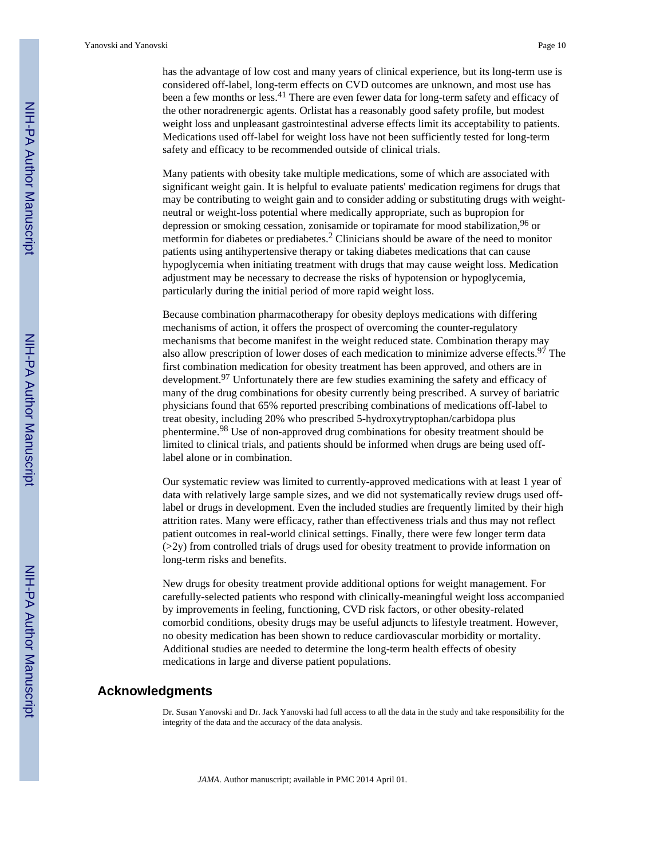has the advantage of low cost and many years of clinical experience, but its long-term use is considered off-label, long-term effects on CVD outcomes are unknown, and most use has been a few months or less.<sup>41</sup> There are even fewer data for long-term safety and efficacy of the other noradrenergic agents. Orlistat has a reasonably good safety profile, but modest weight loss and unpleasant gastrointestinal adverse effects limit its acceptability to patients. Medications used off-label for weight loss have not been sufficiently tested for long-term safety and efficacy to be recommended outside of clinical trials.

Many patients with obesity take multiple medications, some of which are associated with significant weight gain. It is helpful to evaluate patients' medication regimens for drugs that may be contributing to weight gain and to consider adding or substituting drugs with weightneutral or weight-loss potential where medically appropriate, such as bupropion for depression or smoking cessation, zonisamide or topiramate for mood stabilization,<sup>96</sup> or metformin for diabetes or prediabetes.<sup>2</sup> Clinicians should be aware of the need to monitor patients using antihypertensive therapy or taking diabetes medications that can cause hypoglycemia when initiating treatment with drugs that may cause weight loss. Medication adjustment may be necessary to decrease the risks of hypotension or hypoglycemia, particularly during the initial period of more rapid weight loss.

Because combination pharmacotherapy for obesity deploys medications with differing mechanisms of action, it offers the prospect of overcoming the counter-regulatory mechanisms that become manifest in the weight reduced state. Combination therapy may also allow prescription of lower doses of each medication to minimize adverse effects.97 The first combination medication for obesity treatment has been approved, and others are in development.<sup>97</sup> Unfortunately there are few studies examining the safety and efficacy of many of the drug combinations for obesity currently being prescribed. A survey of bariatric physicians found that 65% reported prescribing combinations of medications off-label to treat obesity, including 20% who prescribed 5-hydroxytryptophan/carbidopa plus phentermine.98 Use of non-approved drug combinations for obesity treatment should be limited to clinical trials, and patients should be informed when drugs are being used offlabel alone or in combination.

Our systematic review was limited to currently-approved medications with at least 1 year of data with relatively large sample sizes, and we did not systematically review drugs used offlabel or drugs in development. Even the included studies are frequently limited by their high attrition rates. Many were efficacy, rather than effectiveness trials and thus may not reflect patient outcomes in real-world clinical settings. Finally, there were few longer term data  $(>2y)$  from controlled trials of drugs used for obesity treatment to provide information on long-term risks and benefits.

New drugs for obesity treatment provide additional options for weight management. For carefully-selected patients who respond with clinically-meaningful weight loss accompanied by improvements in feeling, functioning, CVD risk factors, or other obesity-related comorbid conditions, obesity drugs may be useful adjuncts to lifestyle treatment. However, no obesity medication has been shown to reduce cardiovascular morbidity or mortality. Additional studies are needed to determine the long-term health effects of obesity medications in large and diverse patient populations.

#### **Acknowledgments**

Dr. Susan Yanovski and Dr. Jack Yanovski had full access to all the data in the study and take responsibility for the integrity of the data and the accuracy of the data analysis.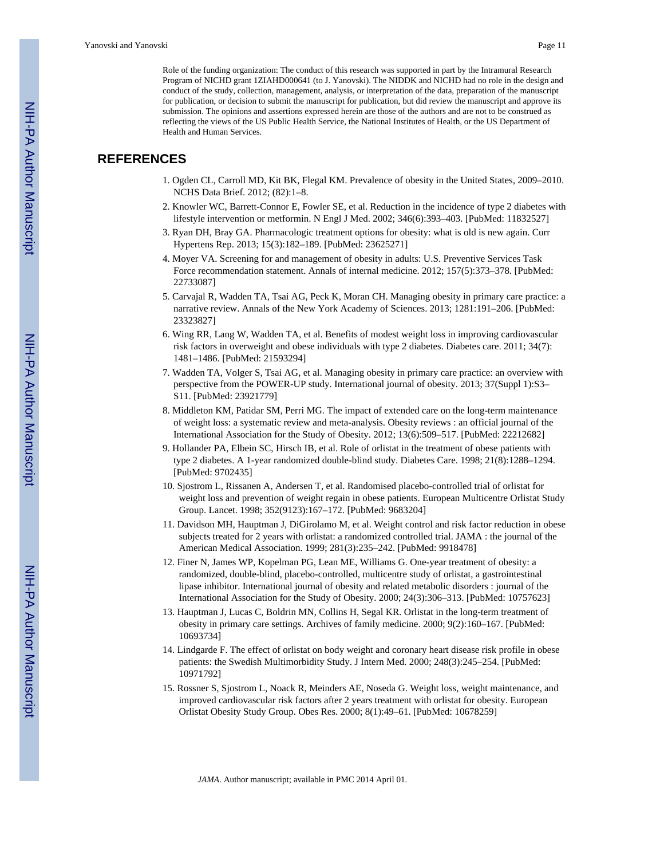Role of the funding organization: The conduct of this research was supported in part by the Intramural Research Program of NICHD grant 1ZIAHD000641 (to J. Yanovski). The NIDDK and NICHD had no role in the design and conduct of the study, collection, management, analysis, or interpretation of the data, preparation of the manuscript for publication, or decision to submit the manuscript for publication, but did review the manuscript and approve its submission. The opinions and assertions expressed herein are those of the authors and are not to be construed as reflecting the views of the US Public Health Service, the National Institutes of Health, or the US Department of Health and Human Services.

#### **REFERENCES**

- 1. Ogden CL, Carroll MD, Kit BK, Flegal KM. Prevalence of obesity in the United States, 2009–2010. NCHS Data Brief. 2012; (82):1–8.
- 2. Knowler WC, Barrett-Connor E, Fowler SE, et al. Reduction in the incidence of type 2 diabetes with lifestyle intervention or metformin. N Engl J Med. 2002; 346(6):393–403. [PubMed: 11832527]
- 3. Ryan DH, Bray GA. Pharmacologic treatment options for obesity: what is old is new again. Curr Hypertens Rep. 2013; 15(3):182–189. [PubMed: 23625271]
- 4. Moyer VA. Screening for and management of obesity in adults: U.S. Preventive Services Task Force recommendation statement. Annals of internal medicine. 2012; 157(5):373–378. [PubMed: 22733087]
- 5. Carvajal R, Wadden TA, Tsai AG, Peck K, Moran CH. Managing obesity in primary care practice: a narrative review. Annals of the New York Academy of Sciences. 2013; 1281:191–206. [PubMed: 23323827]
- 6. Wing RR, Lang W, Wadden TA, et al. Benefits of modest weight loss in improving cardiovascular risk factors in overweight and obese individuals with type 2 diabetes. Diabetes care. 2011; 34(7): 1481–1486. [PubMed: 21593294]
- 7. Wadden TA, Volger S, Tsai AG, et al. Managing obesity in primary care practice: an overview with perspective from the POWER-UP study. International journal of obesity. 2013; 37(Suppl 1):S3– S11. [PubMed: 23921779]
- 8. Middleton KM, Patidar SM, Perri MG. The impact of extended care on the long-term maintenance of weight loss: a systematic review and meta-analysis. Obesity reviews : an official journal of the International Association for the Study of Obesity. 2012; 13(6):509–517. [PubMed: 22212682]
- 9. Hollander PA, Elbein SC, Hirsch IB, et al. Role of orlistat in the treatment of obese patients with type 2 diabetes. A 1-year randomized double-blind study. Diabetes Care. 1998; 21(8):1288–1294. [PubMed: 9702435]
- 10. Sjostrom L, Rissanen A, Andersen T, et al. Randomised placebo-controlled trial of orlistat for weight loss and prevention of weight regain in obese patients. European Multicentre Orlistat Study Group. Lancet. 1998; 352(9123):167–172. [PubMed: 9683204]
- 11. Davidson MH, Hauptman J, DiGirolamo M, et al. Weight control and risk factor reduction in obese subjects treated for 2 years with orlistat: a randomized controlled trial. JAMA : the journal of the American Medical Association. 1999; 281(3):235–242. [PubMed: 9918478]
- 12. Finer N, James WP, Kopelman PG, Lean ME, Williams G. One-year treatment of obesity: a randomized, double-blind, placebo-controlled, multicentre study of orlistat, a gastrointestinal lipase inhibitor. International journal of obesity and related metabolic disorders : journal of the International Association for the Study of Obesity. 2000; 24(3):306–313. [PubMed: 10757623]
- 13. Hauptman J, Lucas C, Boldrin MN, Collins H, Segal KR. Orlistat in the long-term treatment of obesity in primary care settings. Archives of family medicine. 2000; 9(2):160–167. [PubMed: 10693734]
- 14. Lindgarde F. The effect of orlistat on body weight and coronary heart disease risk profile in obese patients: the Swedish Multimorbidity Study. J Intern Med. 2000; 248(3):245–254. [PubMed: 10971792]
- 15. Rossner S, Sjostrom L, Noack R, Meinders AE, Noseda G. Weight loss, weight maintenance, and improved cardiovascular risk factors after 2 years treatment with orlistat for obesity. European Orlistat Obesity Study Group. Obes Res. 2000; 8(1):49–61. [PubMed: 10678259]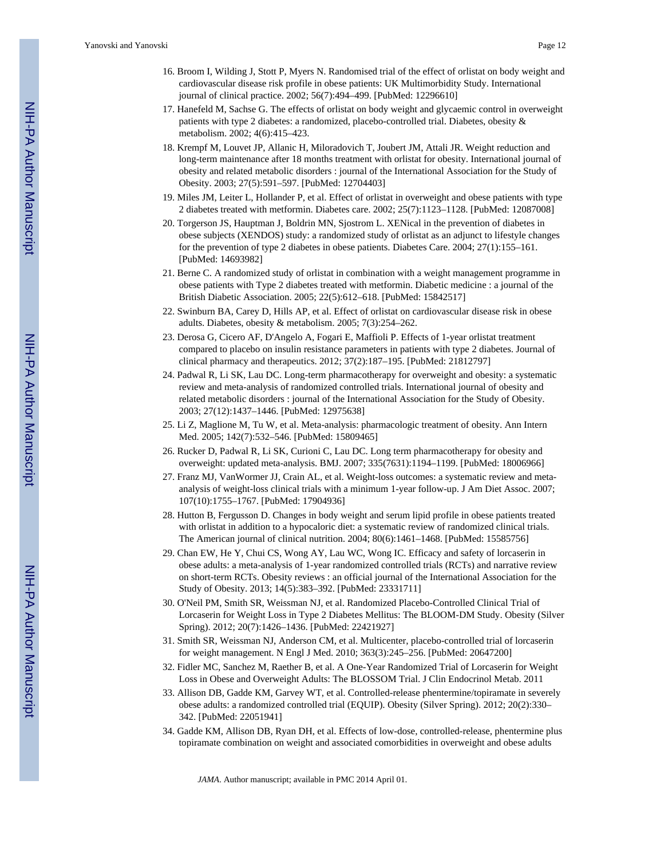- 16. Broom I, Wilding J, Stott P, Myers N. Randomised trial of the effect of orlistat on body weight and cardiovascular disease risk profile in obese patients: UK Multimorbidity Study. International journal of clinical practice. 2002; 56(7):494–499. [PubMed: 12296610]
- 17. Hanefeld M, Sachse G. The effects of orlistat on body weight and glycaemic control in overweight patients with type 2 diabetes: a randomized, placebo-controlled trial. Diabetes, obesity & metabolism. 2002; 4(6):415–423.
- 18. Krempf M, Louvet JP, Allanic H, Miloradovich T, Joubert JM, Attali JR. Weight reduction and long-term maintenance after 18 months treatment with orlistat for obesity. International journal of obesity and related metabolic disorders : journal of the International Association for the Study of Obesity. 2003; 27(5):591–597. [PubMed: 12704403]
- 19. Miles JM, Leiter L, Hollander P, et al. Effect of orlistat in overweight and obese patients with type 2 diabetes treated with metformin. Diabetes care. 2002; 25(7):1123–1128. [PubMed: 12087008]
- 20. Torgerson JS, Hauptman J, Boldrin MN, Sjostrom L. XENical in the prevention of diabetes in obese subjects (XENDOS) study: a randomized study of orlistat as an adjunct to lifestyle changes for the prevention of type 2 diabetes in obese patients. Diabetes Care. 2004; 27(1):155–161. [PubMed: 14693982]
- 21. Berne C. A randomized study of orlistat in combination with a weight management programme in obese patients with Type 2 diabetes treated with metformin. Diabetic medicine : a journal of the British Diabetic Association. 2005; 22(5):612–618. [PubMed: 15842517]
- 22. Swinburn BA, Carey D, Hills AP, et al. Effect of orlistat on cardiovascular disease risk in obese adults. Diabetes, obesity & metabolism. 2005; 7(3):254–262.
- 23. Derosa G, Cicero AF, D'Angelo A, Fogari E, Maffioli P. Effects of 1-year orlistat treatment compared to placebo on insulin resistance parameters in patients with type 2 diabetes. Journal of clinical pharmacy and therapeutics. 2012; 37(2):187–195. [PubMed: 21812797]
- 24. Padwal R, Li SK, Lau DC. Long-term pharmacotherapy for overweight and obesity: a systematic review and meta-analysis of randomized controlled trials. International journal of obesity and related metabolic disorders : journal of the International Association for the Study of Obesity. 2003; 27(12):1437–1446. [PubMed: 12975638]
- 25. Li Z, Maglione M, Tu W, et al. Meta-analysis: pharmacologic treatment of obesity. Ann Intern Med. 2005; 142(7):532–546. [PubMed: 15809465]
- 26. Rucker D, Padwal R, Li SK, Curioni C, Lau DC. Long term pharmacotherapy for obesity and overweight: updated meta-analysis. BMJ. 2007; 335(7631):1194–1199. [PubMed: 18006966]
- 27. Franz MJ, VanWormer JJ, Crain AL, et al. Weight-loss outcomes: a systematic review and metaanalysis of weight-loss clinical trials with a minimum 1-year follow-up. J Am Diet Assoc. 2007; 107(10):1755–1767. [PubMed: 17904936]
- 28. Hutton B, Fergusson D. Changes in body weight and serum lipid profile in obese patients treated with orlistat in addition to a hypocaloric diet: a systematic review of randomized clinical trials. The American journal of clinical nutrition. 2004; 80(6):1461–1468. [PubMed: 15585756]
- 29. Chan EW, He Y, Chui CS, Wong AY, Lau WC, Wong IC. Efficacy and safety of lorcaserin in obese adults: a meta-analysis of 1-year randomized controlled trials (RCTs) and narrative review on short-term RCTs. Obesity reviews : an official journal of the International Association for the Study of Obesity. 2013; 14(5):383–392. [PubMed: 23331711]
- 30. O'Neil PM, Smith SR, Weissman NJ, et al. Randomized Placebo-Controlled Clinical Trial of Lorcaserin for Weight Loss in Type 2 Diabetes Mellitus: The BLOOM-DM Study. Obesity (Silver Spring). 2012; 20(7):1426–1436. [PubMed: 22421927]
- 31. Smith SR, Weissman NJ, Anderson CM, et al. Multicenter, placebo-controlled trial of lorcaserin for weight management. N Engl J Med. 2010; 363(3):245–256. [PubMed: 20647200]
- 32. Fidler MC, Sanchez M, Raether B, et al. A One-Year Randomized Trial of Lorcaserin for Weight Loss in Obese and Overweight Adults: The BLOSSOM Trial. J Clin Endocrinol Metab. 2011
- 33. Allison DB, Gadde KM, Garvey WT, et al. Controlled-release phentermine/topiramate in severely obese adults: a randomized controlled trial (EQUIP). Obesity (Silver Spring). 2012; 20(2):330– 342. [PubMed: 22051941]
- 34. Gadde KM, Allison DB, Ryan DH, et al. Effects of low-dose, controlled-release, phentermine plus topiramate combination on weight and associated comorbidities in overweight and obese adults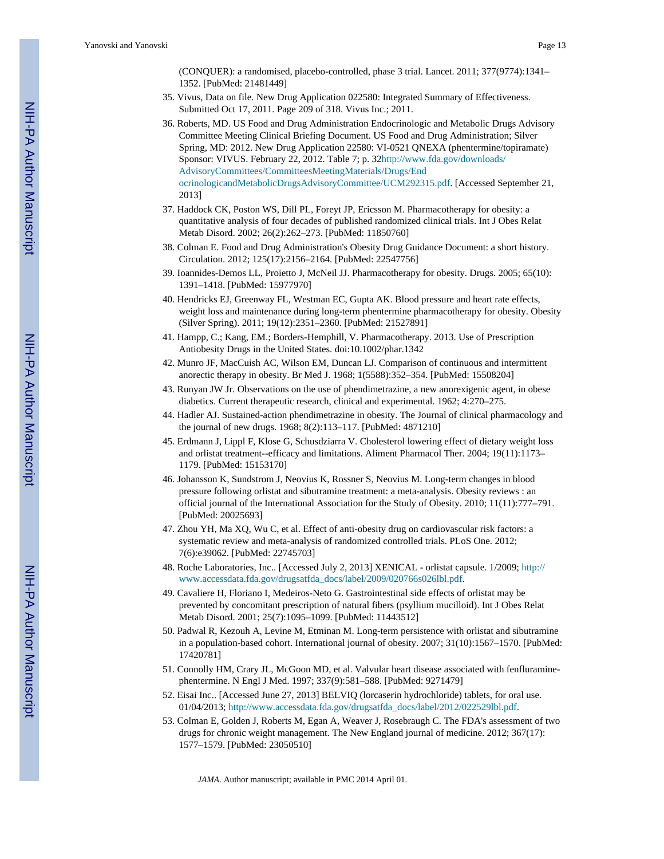(CONQUER): a randomised, placebo-controlled, phase 3 trial. Lancet. 2011; 377(9774):1341– 1352. [PubMed: 21481449]

- 35. Vivus, Data on file. New Drug Application 022580: Integrated Summary of Effectiveness. Submitted Oct 17, 2011. Page 209 of 318. Vivus Inc.; 2011.
- 36. Roberts, MD. US Food and Drug Administration Endocrinologic and Metabolic Drugs Advisory Committee Meeting Clinical Briefing Document. US Food and Drug Administration; Silver Spring, MD: 2012. New Drug Application 22580: VI-0521 QNEXA (phentermine/topiramate) Sponsor: VIVUS. February 22, 2012. Table 7; p. 32[http://www.fda.gov/downloads/](http://www.fda.gov/downloads/AdvisoryCommittees/CommitteesMeetingMaterials/Drugs/EndocrinologicandMetabolicDrugsAdvisoryCommittee/UCM292315.pdf) [AdvisoryCommittees/CommitteesMeetingMaterials/Drugs/End](http://www.fda.gov/downloads/AdvisoryCommittees/CommitteesMeetingMaterials/Drugs/EndocrinologicandMetabolicDrugsAdvisoryCommittee/UCM292315.pdf) [ocrinologicandMetabolicDrugsAdvisoryCommittee/UCM292315.pdf](http://www.fda.gov/downloads/AdvisoryCommittees/CommitteesMeetingMaterials/Drugs/EndocrinologicandMetabolicDrugsAdvisoryCommittee/UCM292315.pdf). [Accessed September 21, 2013]
- 37. Haddock CK, Poston WS, Dill PL, Foreyt JP, Ericsson M. Pharmacotherapy for obesity: a quantitative analysis of four decades of published randomized clinical trials. Int J Obes Relat Metab Disord. 2002; 26(2):262–273. [PubMed: 11850760]
- 38. Colman E. Food and Drug Administration's Obesity Drug Guidance Document: a short history. Circulation. 2012; 125(17):2156–2164. [PubMed: 22547756]
- 39. Ioannides-Demos LL, Proietto J, McNeil JJ. Pharmacotherapy for obesity. Drugs. 2005; 65(10): 1391–1418. [PubMed: 15977970]
- 40. Hendricks EJ, Greenway FL, Westman EC, Gupta AK. Blood pressure and heart rate effects, weight loss and maintenance during long-term phentermine pharmacotherapy for obesity. Obesity (Silver Spring). 2011; 19(12):2351–2360. [PubMed: 21527891]
- 41. Hampp, C.; Kang, EM.; Borders-Hemphill, V. Pharmacotherapy. 2013. Use of Prescription Antiobesity Drugs in the United States. doi:10.1002/phar.1342
- 42. Munro JF, MacCuish AC, Wilson EM, Duncan LJ. Comparison of continuous and intermittent anorectic therapy in obesity. Br Med J. 1968; 1(5588):352–354. [PubMed: 15508204]
- 43. Runyan JW Jr. Observations on the use of phendimetrazine, a new anorexigenic agent, in obese diabetics. Current therapeutic research, clinical and experimental. 1962; 4:270–275.
- 44. Hadler AJ. Sustained-action phendimetrazine in obesity. The Journal of clinical pharmacology and the journal of new drugs. 1968; 8(2):113–117. [PubMed: 4871210]
- 45. Erdmann J, Lippl F, Klose G, Schusdziarra V. Cholesterol lowering effect of dietary weight loss and orlistat treatment--efficacy and limitations. Aliment Pharmacol Ther. 2004; 19(11):1173– 1179. [PubMed: 15153170]
- 46. Johansson K, Sundstrom J, Neovius K, Rossner S, Neovius M. Long-term changes in blood pressure following orlistat and sibutramine treatment: a meta-analysis. Obesity reviews : an official journal of the International Association for the Study of Obesity. 2010; 11(11):777–791. [PubMed: 20025693]
- 47. Zhou YH, Ma XQ, Wu C, et al. Effect of anti-obesity drug on cardiovascular risk factors: a systematic review and meta-analysis of randomized controlled trials. PLoS One. 2012; 7(6):e39062. [PubMed: 22745703]
- 48. Roche Laboratories, Inc.. [Accessed July 2, 2013] XENICAL orlistat capsule. 1/2009; [http://](http://www.accessdata.fda.gov/drugsatfda_docs/label/2009/020766s026lbl.pdf) [www.accessdata.fda.gov/drugsatfda\\_docs/label/2009/020766s026lbl.pdf](http://www.accessdata.fda.gov/drugsatfda_docs/label/2009/020766s026lbl.pdf).
- 49. Cavaliere H, Floriano I, Medeiros-Neto G. Gastrointestinal side effects of orlistat may be prevented by concomitant prescription of natural fibers (psyllium mucilloid). Int J Obes Relat Metab Disord. 2001; 25(7):1095–1099. [PubMed: 11443512]
- 50. Padwal R, Kezouh A, Levine M, Etminan M. Long-term persistence with orlistat and sibutramine in a population-based cohort. International journal of obesity. 2007; 31(10):1567–1570. [PubMed: 17420781]
- 51. Connolly HM, Crary JL, McGoon MD, et al. Valvular heart disease associated with fenfluraminephentermine. N Engl J Med. 1997; 337(9):581–588. [PubMed: 9271479]
- 52. Eisai Inc.. [Accessed June 27, 2013] BELVIQ (lorcaserin hydrochloride) tablets, for oral use. 01/04/2013; [http://www.accessdata.fda.gov/drugsatfda\\_docs/label/2012/022529lbl.pdf.](http://www.accessdata.fda.gov/drugsatfda_docs/label/2012/022529lbl.pdf)
- 53. Colman E, Golden J, Roberts M, Egan A, Weaver J, Rosebraugh C. The FDA's assessment of two drugs for chronic weight management. The New England journal of medicine. 2012; 367(17): 1577–1579. [PubMed: 23050510]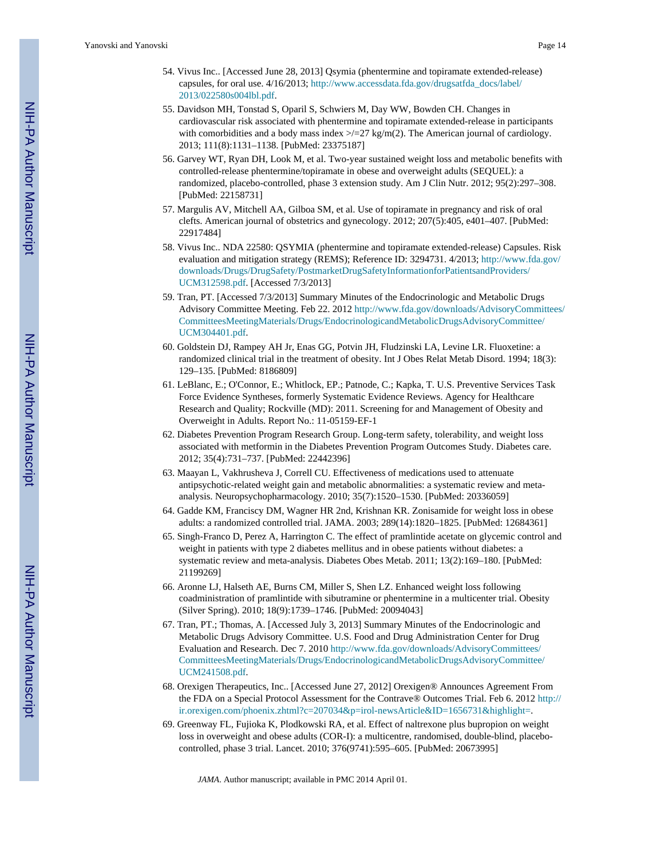- 54. Vivus Inc.. [Accessed June 28, 2013] Qsymia (phentermine and topiramate extended-release) capsules, for oral use. 4/16/2013; [http://www.accessdata.fda.gov/drugsatfda\\_docs/label/](http://www.accessdata.fda.gov/drugsatfda_docs/label/2013/022580s004lbl.pdf) [2013/022580s004lbl.pdf](http://www.accessdata.fda.gov/drugsatfda_docs/label/2013/022580s004lbl.pdf).
- 55. Davidson MH, Tonstad S, Oparil S, Schwiers M, Day WW, Bowden CH. Changes in cardiovascular risk associated with phentermine and topiramate extended-release in participants with comorbidities and a body mass index  $\geq$  /=27 kg/m(2). The American journal of cardiology. 2013; 111(8):1131–1138. [PubMed: 23375187]
- 56. Garvey WT, Ryan DH, Look M, et al. Two-year sustained weight loss and metabolic benefits with controlled-release phentermine/topiramate in obese and overweight adults (SEQUEL): a randomized, placebo-controlled, phase 3 extension study. Am J Clin Nutr. 2012; 95(2):297–308. [PubMed: 22158731]
- 57. Margulis AV, Mitchell AA, Gilboa SM, et al. Use of topiramate in pregnancy and risk of oral clefts. American journal of obstetrics and gynecology. 2012; 207(5):405, e401–407. [PubMed: 22917484]
- 58. Vivus Inc.. NDA 22580: QSYMIA (phentermine and topiramate extended-release) Capsules. Risk evaluation and mitigation strategy (REMS); Reference ID: 3294731. 4/2013; [http://www.fda.gov/](http://www.fda.gov/downloads/Drugs/DrugSafety/PostmarketDrugSafetyInformationforPatientsandProviders/UCM312598.pdf) [downloads/Drugs/DrugSafety/PostmarketDrugSafetyInformationforPatientsandProviders/](http://www.fda.gov/downloads/Drugs/DrugSafety/PostmarketDrugSafetyInformationforPatientsandProviders/UCM312598.pdf) [UCM312598.pdf.](http://www.fda.gov/downloads/Drugs/DrugSafety/PostmarketDrugSafetyInformationforPatientsandProviders/UCM312598.pdf) [Accessed 7/3/2013]
- 59. Tran, PT. [Accessed 7/3/2013] Summary Minutes of the Endocrinologic and Metabolic Drugs Advisory Committee Meeting. Feb 22. 2012 [http://www.fda.gov/downloads/AdvisoryCommittees/](http://www.fda.gov/downloads/AdvisoryCommittees/CommitteesMeetingMaterials/Drugs/EndocrinologicandMetabolicDrugsAdvisoryCommittee/UCM304401.pdf) [CommitteesMeetingMaterials/Drugs/EndocrinologicandMetabolicDrugsAdvisoryCommittee/](http://www.fda.gov/downloads/AdvisoryCommittees/CommitteesMeetingMaterials/Drugs/EndocrinologicandMetabolicDrugsAdvisoryCommittee/UCM304401.pdf) [UCM304401.pdf.](http://www.fda.gov/downloads/AdvisoryCommittees/CommitteesMeetingMaterials/Drugs/EndocrinologicandMetabolicDrugsAdvisoryCommittee/UCM304401.pdf)
- 60. Goldstein DJ, Rampey AH Jr, Enas GG, Potvin JH, Fludzinski LA, Levine LR. Fluoxetine: a randomized clinical trial in the treatment of obesity. Int J Obes Relat Metab Disord. 1994; 18(3): 129–135. [PubMed: 8186809]
- 61. LeBlanc, E.; O'Connor, E.; Whitlock, EP.; Patnode, C.; Kapka, T. U.S. Preventive Services Task Force Evidence Syntheses, formerly Systematic Evidence Reviews. Agency for Healthcare Research and Quality; Rockville (MD): 2011. Screening for and Management of Obesity and Overweight in Adults. Report No.: 11-05159-EF-1
- 62. Diabetes Prevention Program Research Group. Long-term safety, tolerability, and weight loss associated with metformin in the Diabetes Prevention Program Outcomes Study. Diabetes care. 2012; 35(4):731–737. [PubMed: 22442396]
- 63. Maayan L, Vakhrusheva J, Correll CU. Effectiveness of medications used to attenuate antipsychotic-related weight gain and metabolic abnormalities: a systematic review and metaanalysis. Neuropsychopharmacology. 2010; 35(7):1520–1530. [PubMed: 20336059]
- 64. Gadde KM, Franciscy DM, Wagner HR 2nd, Krishnan KR. Zonisamide for weight loss in obese adults: a randomized controlled trial. JAMA. 2003; 289(14):1820–1825. [PubMed: 12684361]
- 65. Singh-Franco D, Perez A, Harrington C. The effect of pramlintide acetate on glycemic control and weight in patients with type 2 diabetes mellitus and in obese patients without diabetes: a systematic review and meta-analysis. Diabetes Obes Metab. 2011; 13(2):169–180. [PubMed: 21199269]
- 66. Aronne LJ, Halseth AE, Burns CM, Miller S, Shen LZ. Enhanced weight loss following coadministration of pramlintide with sibutramine or phentermine in a multicenter trial. Obesity (Silver Spring). 2010; 18(9):1739–1746. [PubMed: 20094043]
- 67. Tran, PT.; Thomas, A. [Accessed July 3, 2013] Summary Minutes of the Endocrinologic and Metabolic Drugs Advisory Committee. U.S. Food and Drug Administration Center for Drug Evaluation and Research. Dec 7. 2010 [http://www.fda.gov/downloads/AdvisoryCommittees/](http://www.fda.gov/downloads/AdvisoryCommittees/CommitteesMeetingMaterials/Drugs/EndocrinologicandMetabolicDrugsAdvisoryCommittee/UCM241508.pdf) [CommitteesMeetingMaterials/Drugs/EndocrinologicandMetabolicDrugsAdvisoryCommittee/](http://www.fda.gov/downloads/AdvisoryCommittees/CommitteesMeetingMaterials/Drugs/EndocrinologicandMetabolicDrugsAdvisoryCommittee/UCM241508.pdf) [UCM241508.pdf.](http://www.fda.gov/downloads/AdvisoryCommittees/CommitteesMeetingMaterials/Drugs/EndocrinologicandMetabolicDrugsAdvisoryCommittee/UCM241508.pdf)
- 68. Orexigen Therapeutics, Inc.. [Accessed June 27, 2012] Orexigen® Announces Agreement From the FDA on a Special Protocol Assessment for the Contrave® Outcomes Trial. Feb 6. 2012 [http://](http://ir.orexigen.com/phoenix.zhtml?c=207034&p=irol-newsArticle&ID=1656731&highlight=) [ir.orexigen.com/phoenix.zhtml?c=207034&p=irol-newsArticle&ID=1656731&highlight=.](http://ir.orexigen.com/phoenix.zhtml?c=207034&p=irol-newsArticle&ID=1656731&highlight=)
- 69. Greenway FL, Fujioka K, Plodkowski RA, et al. Effect of naltrexone plus bupropion on weight loss in overweight and obese adults (COR-I): a multicentre, randomised, double-blind, placebocontrolled, phase 3 trial. Lancet. 2010; 376(9741):595–605. [PubMed: 20673995]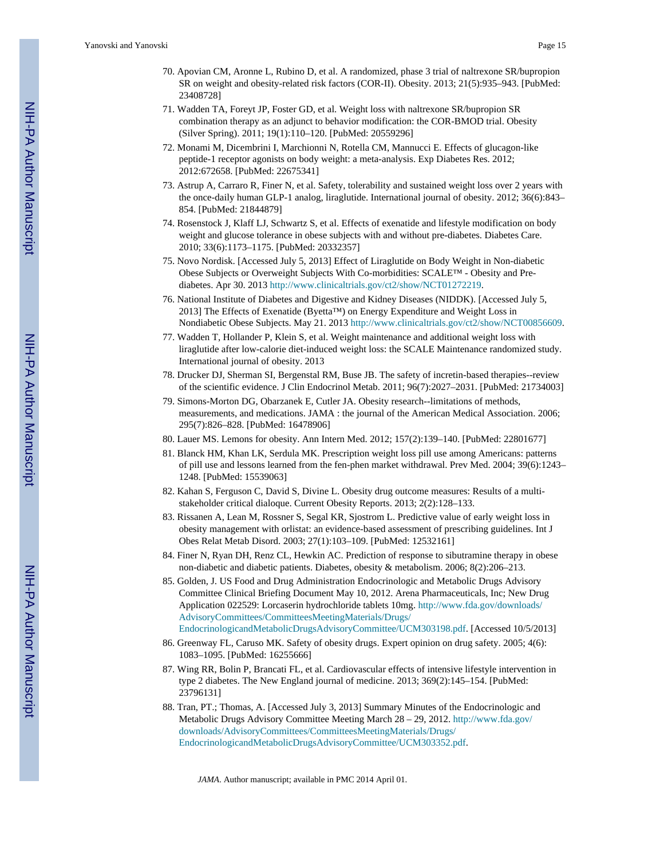- 70. Apovian CM, Aronne L, Rubino D, et al. A randomized, phase 3 trial of naltrexone SR/bupropion SR on weight and obesity-related risk factors (COR-II). Obesity. 2013; 21(5):935–943. [PubMed: 23408728]
- 71. Wadden TA, Foreyt JP, Foster GD, et al. Weight loss with naltrexone SR/bupropion SR combination therapy as an adjunct to behavior modification: the COR-BMOD trial. Obesity (Silver Spring). 2011; 19(1):110–120. [PubMed: 20559296]
- 72. Monami M, Dicembrini I, Marchionni N, Rotella CM, Mannucci E. Effects of glucagon-like peptide-1 receptor agonists on body weight: a meta-analysis. Exp Diabetes Res. 2012; 2012:672658. [PubMed: 22675341]
- 73. Astrup A, Carraro R, Finer N, et al. Safety, tolerability and sustained weight loss over 2 years with the once-daily human GLP-1 analog, liraglutide. International journal of obesity. 2012; 36(6):843– 854. [PubMed: 21844879]
- 74. Rosenstock J, Klaff LJ, Schwartz S, et al. Effects of exenatide and lifestyle modification on body weight and glucose tolerance in obese subjects with and without pre-diabetes. Diabetes Care. 2010; 33(6):1173–1175. [PubMed: 20332357]
- 75. Novo Nordisk. [Accessed July 5, 2013] Effect of Liraglutide on Body Weight in Non-diabetic Obese Subjects or Overweight Subjects With Co-morbidities: SCALE™ - Obesity and Prediabetes. Apr 30. 2013 [http://www.clinicaltrials.gov/ct2/show/NCT01272219.](http://www.clinicaltrials.gov/ct2/show/NCT01272219)
- 76. National Institute of Diabetes and Digestive and Kidney Diseases (NIDDK). [Accessed July 5, 2013] The Effects of Exenatide (Byetta<sup>™</sup>) on Energy Expenditure and Weight Loss in Nondiabetic Obese Subjects. May 21. 2013<http://www.clinicaltrials.gov/ct2/show/NCT00856609>.
- 77. Wadden T, Hollander P, Klein S, et al. Weight maintenance and additional weight loss with liraglutide after low-calorie diet-induced weight loss: the SCALE Maintenance randomized study. International journal of obesity. 2013
- 78. Drucker DJ, Sherman SI, Bergenstal RM, Buse JB. The safety of incretin-based therapies--review of the scientific evidence. J Clin Endocrinol Metab. 2011; 96(7):2027–2031. [PubMed: 21734003]
- 79. Simons-Morton DG, Obarzanek E, Cutler JA. Obesity research--limitations of methods, measurements, and medications. JAMA : the journal of the American Medical Association. 2006; 295(7):826–828. [PubMed: 16478906]
- 80. Lauer MS. Lemons for obesity. Ann Intern Med. 2012; 157(2):139–140. [PubMed: 22801677]
- 81. Blanck HM, Khan LK, Serdula MK. Prescription weight loss pill use among Americans: patterns of pill use and lessons learned from the fen-phen market withdrawal. Prev Med. 2004; 39(6):1243– 1248. [PubMed: 15539063]
- 82. Kahan S, Ferguson C, David S, Divine L. Obesity drug outcome measures: Results of a multistakeholder critical dialoque. Current Obesity Reports. 2013; 2(2):128–133.
- 83. Rissanen A, Lean M, Rossner S, Segal KR, Sjostrom L. Predictive value of early weight loss in obesity management with orlistat: an evidence-based assessment of prescribing guidelines. Int J Obes Relat Metab Disord. 2003; 27(1):103–109. [PubMed: 12532161]
- 84. Finer N, Ryan DH, Renz CL, Hewkin AC. Prediction of response to sibutramine therapy in obese non-diabetic and diabetic patients. Diabetes, obesity & metabolism. 2006; 8(2):206–213.
- 85. Golden, J. US Food and Drug Administration Endocrinologic and Metabolic Drugs Advisory Committee Clinical Briefing Document May 10, 2012. Arena Pharmaceuticals, Inc; New Drug Application 022529: Lorcaserin hydrochloride tablets 10mg. [http://www.fda.gov/downloads/](http://www.fda.gov/downloads/AdvisoryCommittees/CommitteesMeetingMaterials/Drugs/EndocrinologicandMetabolicDrugsAdvisoryCommittee/UCM303198.pdf) [AdvisoryCommittees/CommitteesMeetingMaterials/Drugs/](http://www.fda.gov/downloads/AdvisoryCommittees/CommitteesMeetingMaterials/Drugs/EndocrinologicandMetabolicDrugsAdvisoryCommittee/UCM303198.pdf) [EndocrinologicandMetabolicDrugsAdvisoryCommittee/UCM303198.pdf.](http://www.fda.gov/downloads/AdvisoryCommittees/CommitteesMeetingMaterials/Drugs/EndocrinologicandMetabolicDrugsAdvisoryCommittee/UCM303198.pdf) [Accessed 10/5/2013]
- 86. Greenway FL, Caruso MK. Safety of obesity drugs. Expert opinion on drug safety. 2005; 4(6): 1083–1095. [PubMed: 16255666]
- 87. Wing RR, Bolin P, Brancati FL, et al. Cardiovascular effects of intensive lifestyle intervention in type 2 diabetes. The New England journal of medicine. 2013; 369(2):145–154. [PubMed: 23796131]
- 88. Tran, PT.; Thomas, A. [Accessed July 3, 2013] Summary Minutes of the Endocrinologic and Metabolic Drugs Advisory Committee Meeting March 28 – 29, 2012. [http://www.fda.gov/](http://www.fda.gov/downloads/AdvisoryCommittees/CommitteesMeetingMaterials/Drugs/EndocrinologicandMetabolicDrugsAdvisoryCommittee/UCM303352.pdf) [downloads/AdvisoryCommittees/CommitteesMeetingMaterials/Drugs/](http://www.fda.gov/downloads/AdvisoryCommittees/CommitteesMeetingMaterials/Drugs/EndocrinologicandMetabolicDrugsAdvisoryCommittee/UCM303352.pdf) [EndocrinologicandMetabolicDrugsAdvisoryCommittee/UCM303352.pdf.](http://www.fda.gov/downloads/AdvisoryCommittees/CommitteesMeetingMaterials/Drugs/EndocrinologicandMetabolicDrugsAdvisoryCommittee/UCM303352.pdf)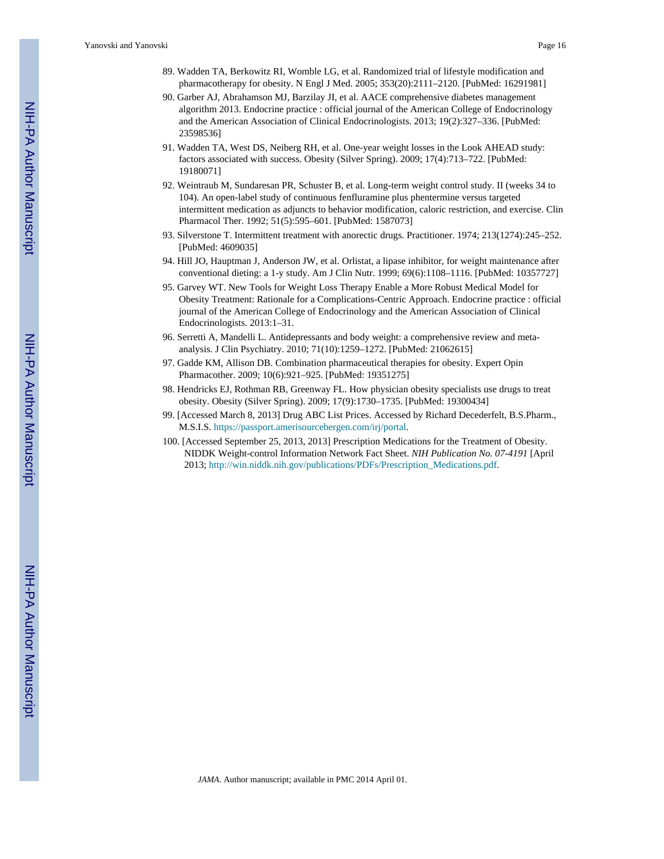- 89. Wadden TA, Berkowitz RI, Womble LG, et al. Randomized trial of lifestyle modification and pharmacotherapy for obesity. N Engl J Med. 2005; 353(20):2111–2120. [PubMed: 16291981]
- 90. Garber AJ, Abrahamson MJ, Barzilay JI, et al. AACE comprehensive diabetes management algorithm 2013. Endocrine practice : official journal of the American College of Endocrinology and the American Association of Clinical Endocrinologists. 2013; 19(2):327–336. [PubMed: 23598536]
- 91. Wadden TA, West DS, Neiberg RH, et al. One-year weight losses in the Look AHEAD study: factors associated with success. Obesity (Silver Spring). 2009; 17(4):713–722. [PubMed: 19180071]
- 92. Weintraub M, Sundaresan PR, Schuster B, et al. Long-term weight control study. II (weeks 34 to 104). An open-label study of continuous fenfluramine plus phentermine versus targeted intermittent medication as adjuncts to behavior modification, caloric restriction, and exercise. Clin Pharmacol Ther. 1992; 51(5):595–601. [PubMed: 1587073]
- 93. Silverstone T. Intermittent treatment with anorectic drugs. Practitioner. 1974; 213(1274):245–252. [PubMed: 4609035]
- 94. Hill JO, Hauptman J, Anderson JW, et al. Orlistat, a lipase inhibitor, for weight maintenance after conventional dieting: a 1-y study. Am J Clin Nutr. 1999; 69(6):1108–1116. [PubMed: 10357727]
- 95. Garvey WT. New Tools for Weight Loss Therapy Enable a More Robust Medical Model for Obesity Treatment: Rationale for a Complications-Centric Approach. Endocrine practice : official journal of the American College of Endocrinology and the American Association of Clinical Endocrinologists. 2013:1–31.
- 96. Serretti A, Mandelli L. Antidepressants and body weight: a comprehensive review and metaanalysis. J Clin Psychiatry. 2010; 71(10):1259–1272. [PubMed: 21062615]
- 97. Gadde KM, Allison DB. Combination pharmaceutical therapies for obesity. Expert Opin Pharmacother. 2009; 10(6):921–925. [PubMed: 19351275]
- 98. Hendricks EJ, Rothman RB, Greenway FL. How physician obesity specialists use drugs to treat obesity. Obesity (Silver Spring). 2009; 17(9):1730–1735. [PubMed: 19300434]
- 99. [Accessed March 8, 2013] Drug ABC List Prices. Accessed by Richard Decederfelt, B.S.Pharm., M.S.I.S. [https://passport.amerisourcebergen.com/irj/portal.](http://https://passport.amerisourcebergen.com/irj/portal)
- 100. [Accessed September 25, 2013, 2013] Prescription Medications for the Treatment of Obesity. NIDDK Weight-control Information Network Fact Sheet. *NIH Publication No. 07-4191* [April 2013; [http://win.niddk.nih.gov/publications/PDFs/Prescription\\_Medications.pdf](http://win.niddk.nih.gov/publications/PDFs/Prescription_Medications.pdf).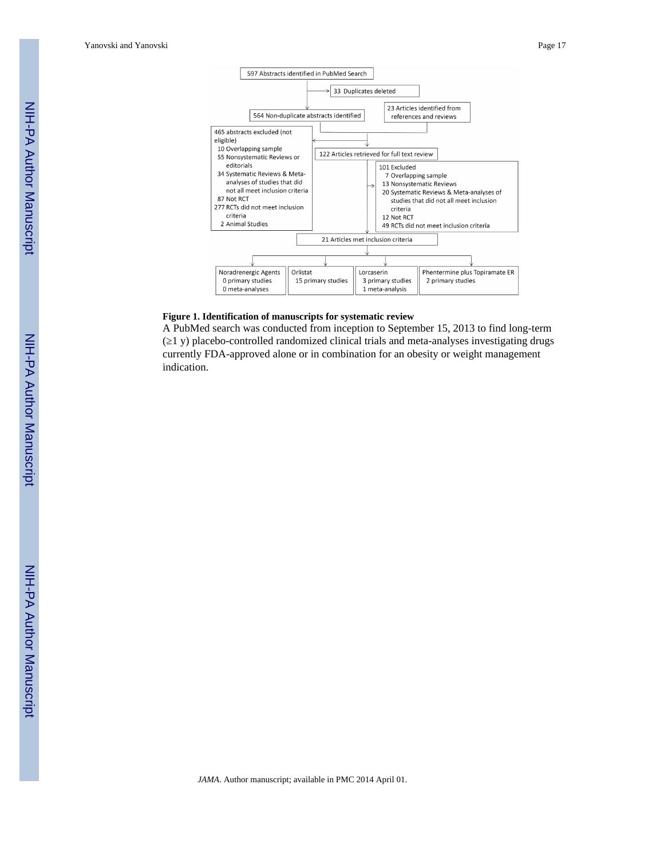Yanovski and Yanovski **Page 17** 



#### **Figure 1. Identification of manuscripts for systematic review**

A PubMed search was conducted from inception to September 15, 2013 to find long-term (≥1 y) placebo-controlled randomized clinical trials and meta-analyses investigating drugs currently FDA-approved alone or in combination for an obesity or weight management indication.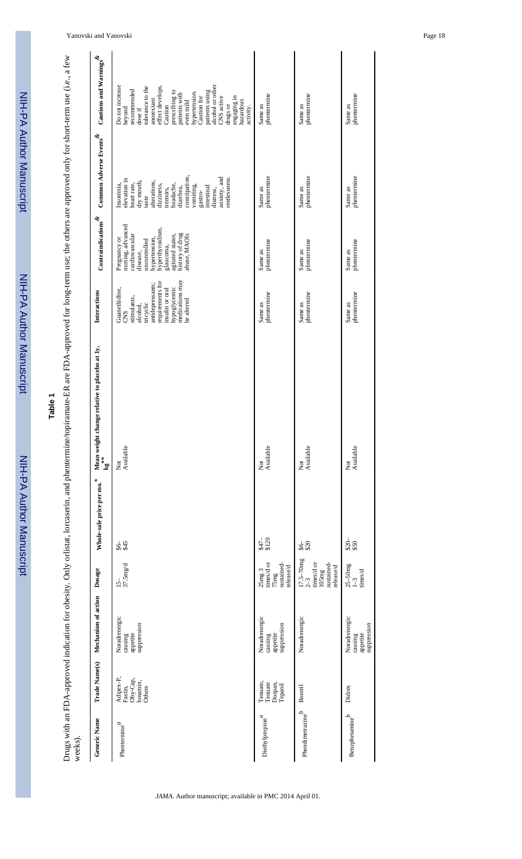| <u>:</u><br>:<br>:   |
|----------------------|
|                      |
|                      |
|                      |
|                      |
|                      |
|                      |
|                      |
|                      |
| <u>:</u>             |
|                      |
|                      |
|                      |
|                      |
| i                    |
| $\ddot{\phantom{a}}$ |
|                      |
|                      |
|                      |
|                      |

NIH-PA Author Manuscript

NIH-PA Author Manuscript

**Table 1**

Drugs with an FDA-approved indication for obesity. Only orlistat, lorcaserin, and phentermine/topiramate-ER are FDA-approved for long-term use; the others are approved only for short-term use (i.e., a few Drugs with an FDA-approved indication for obesity. Only orlistat, lorcaserin, and phentermine/topiramate-ER are FDA-approved for long-term use; the others are approved only for short-term use (i.e., a few weeks).

| Generic Name                                | Trade Name(s)                                          | Mechanism of action                                 | Dosage                                                                     | Whole-sale price per mo.* | Mean weight change relative to placebo at 1y,<br>้<br>เช <sup>ิม</sup> | Interactions                                                                                                                                                             | $\operatorname{Contrahidications}^{\textstyle \&}$                                                                                                                                       | Common Adverse Events $\stackrel{\&\quad\&\quad\&}$                                                                                                                                                                                      | Cautions and Warnings $^\&$                                                                                                                                                                                                                                                                                  |
|---------------------------------------------|--------------------------------------------------------|-----------------------------------------------------|----------------------------------------------------------------------------|---------------------------|------------------------------------------------------------------------|--------------------------------------------------------------------------------------------------------------------------------------------------------------------------|------------------------------------------------------------------------------------------------------------------------------------------------------------------------------------------|------------------------------------------------------------------------------------------------------------------------------------------------------------------------------------------------------------------------------------------|--------------------------------------------------------------------------------------------------------------------------------------------------------------------------------------------------------------------------------------------------------------------------------------------------------------|
| Phentermine $\boldsymbol{a}$                | Adipex-P,<br>Oby-Cap,<br>lonamin,<br>Fastin,<br>Others | Noradrenergic<br>suppression<br>causing<br>appetite | 37.5mg/d<br>$\overline{15}$                                                | 284                       | Available<br>$\breve{\rm z}$                                           | medications may<br>requirements for<br>antidepressants;<br>hypoglycemic<br>Guanethidine,<br>insulin or oral<br>stimulants,<br>be altered<br>tricyclic<br>alcohol,<br>CNS | nursing, advanced<br>hyperthyroidism,<br>history of drug<br>abuse, MAOIs<br>cardiovascular<br>agitated states,<br>Pregnancy or<br>nypertension,<br>uncontrolled<br>glaucoma,<br>disease, | constipation,<br>anxiety, and<br>restlessness.<br>elevation in<br>dry mouth,<br>alterations,<br>heart rate,<br>Insomnia,<br>neadache,<br>dizziness,<br>vomiting,<br>intestinal<br>diarrhea,<br>tremors,<br>distress,<br>gastro-<br>taste | alcohol or other<br>Do not increase<br>effect develops.<br>tolerance to the<br>recommended<br>patients using<br>prescribing to<br>hypertension.<br>patients with<br>Caution for<br>CNS active<br>engaging in<br>morexiant<br>hazardous<br>even mild<br>drugs or<br>activity.<br>Caution<br>beyond<br>dose if |
| Diethyl<br>propion $\real^d$                | Tenuate,<br>Dospan,<br>Tenuate<br>Tepanil              | Noradrenergic<br>suppression<br>causing<br>appetite | sustained-<br>times/d or<br>release/d<br>25mg <sub>3</sub><br>75mg         | $$47-$<br>$$120$          | Available<br>Not                                                       | phentermine<br>Same as                                                                                                                                                   | phentermine<br>Same as                                                                                                                                                                   | phentermine<br>Same as                                                                                                                                                                                                                   | phentermine<br>Same as                                                                                                                                                                                                                                                                                       |
| Phendimetrazine $\stackrel{b}{\phantom{b}}$ | <b>Bontril</b>                                         | Noradrenergic                                       | $17.5 - 70mg$<br>times/d or<br>sustained-<br>release/d<br>105mg<br>$2 - 3$ | \$30                      | Available<br>$\breve{\rm z}$                                           | phentermine<br>Same as                                                                                                                                                   | phentermine<br>Same as                                                                                                                                                                   | phentermine<br>Same as                                                                                                                                                                                                                   | phentermine<br>Same as                                                                                                                                                                                                                                                                                       |
| Benzphetamine $\stackrel{b}{\phantom{b}}$   | Didrex                                                 | Noradrenergic<br>suppression<br>causing<br>appetite | $25 - 50$ mg<br>times/d<br>$\overline{1}$                                  | $$20-$<br>$$50$           | Not<br>Available                                                       | phentermine<br>Same as                                                                                                                                                   | phentermine<br>Same as                                                                                                                                                                   | phentermine<br>Same as                                                                                                                                                                                                                   | phentermine<br>Same as                                                                                                                                                                                                                                                                                       |

Yanovski and Yanovski Page 18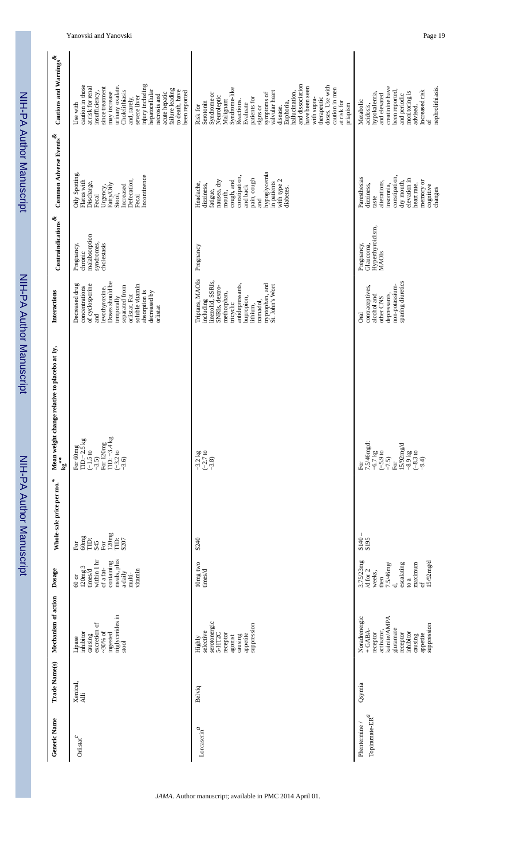| Generic Name                            | <b>Trade Name(s)</b> | Mechanism of action                                                                                                                              | Dosage                                                                                                                            | Whole-sale price per mo. <sup>*</sup>                                                  | Mean weight change relative to placebo at 1y,<br>$\mathbf{g}^*$                                                                                                         | Interactions                                                                                                                                                                                                     | Contraindications $\stackrel{\mathbf{d}}{=}$                        | Common Adverse Events $\stackrel{\&}{{\bf}^k}$                                                                                                                                           | Cautions and Warnings ${}^{\textstyle \&}$                                                                                                                                                                                                                                                                                                              |
|-----------------------------------------|----------------------|--------------------------------------------------------------------------------------------------------------------------------------------------|-----------------------------------------------------------------------------------------------------------------------------------|----------------------------------------------------------------------------------------|-------------------------------------------------------------------------------------------------------------------------------------------------------------------------|------------------------------------------------------------------------------------------------------------------------------------------------------------------------------------------------------------------|---------------------------------------------------------------------|------------------------------------------------------------------------------------------------------------------------------------------------------------------------------------------|---------------------------------------------------------------------------------------------------------------------------------------------------------------------------------------------------------------------------------------------------------------------------------------------------------------------------------------------------------|
| Orlistat $\sp{c}$                       | Xenical,<br>Alli     | triglycerides in<br>causing<br>excretion of<br>$-30\%$ of<br>inhibitor<br>ingested<br>Lipase<br>stool                                            | meals, plus<br>within 1 hr<br>containing<br>120mg <sub>3</sub><br>of a fat-<br>vitamin<br>times/d<br>a daily<br>multi-<br>$60$ or | $\frac{120mg}{11}$<br>$\frac{60 \text{mg}}{\text{MD}}$<br>\$207<br>$$45$<br>For<br>For | $\Gamma$ D: $-3.\overline{4}$ kg<br>For 60mg<br>TID: $-2.5$ kg<br>$-3.5$ )<br>For 120mg<br>$(-1.5 to$<br>$\begin{array}{c} (-3.2 \text{ to } -3.6) \\ -3.6 \end{array}$ | Doses should be<br>of cyclosporine<br>soluble vitamin<br>Decreased drug<br>separated from<br>concentrations<br>levothyroxine.<br>absorption is<br>decreased by<br>orlistat. Fat<br>temporally<br>orlistat<br>and | malabsorption<br>syndromes,<br>Pregnancy,<br>cholestasis<br>chronic | Oily Spotting,<br>Incontinence<br>Defecation,<br>Flatus with<br>Discharge,<br>Fatty/Oily<br>Increased<br>Urgency,<br>Stool,<br>Fecal<br>Fecal                                            | injury including<br>caution in those<br>since treatment<br>urinary oxalate.<br>at risk for renal<br>failure leading<br>hepatocellular<br>insufficiency,<br>Cholelithiasis<br>to death, have<br>may increase<br>been reported<br>acute hepatic<br>necrosis and<br>severe liver<br>and, rarely,<br>Use with                                               |
| ${\tt Lorex}$                           | Belviq               | serotonergic<br>suppression<br>selective<br>receptor<br>5-HT <sub>2C</sub><br>appetite<br>causing<br>agonist<br>Highly                           | 10mg two<br>times/d                                                                                                               | \$240                                                                                  | $-3.2$ kg<br>$(-2.7)$ to<br>$-3.8$ )                                                                                                                                    | Triptans, MAOIs<br>including<br>linezolid, SSRIs,<br>antidepressants,<br>tryptophan, and<br>St. John's Wort<br>SNRIs, dextro-<br>methorphan,<br>bupropion,<br>tramadol,<br>tricyclic<br>lithium,                 | Pregnancy                                                           | hypoglycemia<br>constipation,<br>pain, cough<br>nausea, dry<br>with type 2<br>cough, and<br>in patients<br>Headache,<br>dizziness,<br>and back<br>diabetes.<br>fatigue,<br>mouth,<br>and | and dissociation<br>doses. Use with<br>have been seen<br>caution in men<br>Syndrome-like<br>valvular heart<br>hallucination,<br>symptoms of<br>Syndrome or<br>Neuroleptic<br>with supra-<br>therapeutic<br>patients for<br>Malignant<br>Reactions.<br>at risk for<br>Serotonin<br>Euphoria,<br>Evaluate<br>priapism<br>signs or<br>Risk for<br>disease. |
| Topiramate-ER $\real^d$<br>Phentermine/ | Qsymia               | kainite/AMPA<br>Noradrenergic<br>suppression<br>$+$ GABA-<br>glutamate<br>activator,<br>inhibitor<br>receptor<br>receptor<br>causing<br>appetite | 3.75/23mg<br>15/92mg/d<br>$\max_{\text{of}}$<br>escalating<br>7.5/46mg/<br>/d for 2<br>weeks,<br>then<br>to a<br>ಕ                | \$140.                                                                                 | 7.5/46mgd:<br>15/92mg/d<br>$-6.7 \text{ kg}$<br>$(-5.9 \text{ to}$<br>$-8.9 \text{ kg}$<br>$(-8.3 \text{ to}$<br>$-9.4)$<br>$-7.5$<br>$F_{\rm O}$ r<br>For              | sparing diuretics<br>non-potassium-<br>contraceptives,<br>depressants,<br>alcohol and<br>other CNS<br><b>Oral</b>                                                                                                | Hyperthyroidism,<br>Pregnancy,<br>Glaucoma,<br>MAOIs                | constipation,<br>Paresthesias<br>elevation in<br>dry mouth,<br>memory or<br>alterations,<br>heart rate,<br>dizziness,<br>insomnia,<br>cognitive<br>changes<br>taste                      | creatinine have<br>nephrolithiasis.<br>been reported,<br>Increased risk<br>hypokalemia,<br>monitoring is<br>and elevated<br>and periodic<br>Metabolic<br>acidosis,<br>advised.<br>ð                                                                                                                                                                     |

Yanovski and Yanovski Page 19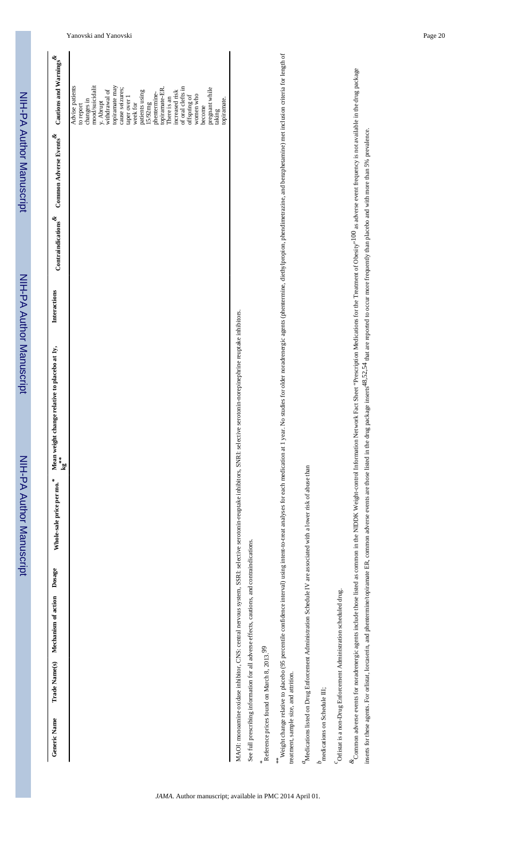NIH-PA Author Manuscript

NIH-PA Author Manuscript

|                                                                                                        | Advise patients<br>hanges in<br>o report |
|--------------------------------------------------------------------------------------------------------|------------------------------------------|
| Contraindications <sup>ox</sup> Common Adverse Events <sup>ox</sup> Cautions and Warnings <sup>o</sup> |                                          |
|                                                                                                        |                                          |
|                                                                                                        |                                          |
| change relative to placebo at 1y, Interactions<br>Mean weight<br>$kg^*$                                |                                          |
| Generic Name Trade Name(s) Mechanism of action Dosage Whole-sale price per mo.*                        |                                          |
|                                                                                                        |                                          |
|                                                                                                        |                                          |
|                                                                                                        |                                          |
|                                                                                                        |                                          |

|  |  | to report<br>modesia in the second set in the second set in the second set in the second set of the second set of the second set of the second polarities. There is an observer of the second second in the second set of the s |  |  |  |  |  |  |  |  |  |
|--|--|---------------------------------------------------------------------------------------------------------------------------------------------------------------------------------------------------------------------------------|--|--|--|--|--|--|--|--|--|
|  |  |                                                                                                                                                                                                                                 |  |  |  |  |  |  |  |  |  |
|  |  |                                                                                                                                                                                                                                 |  |  |  |  |  |  |  |  |  |
|  |  |                                                                                                                                                                                                                                 |  |  |  |  |  |  |  |  |  |
|  |  |                                                                                                                                                                                                                                 |  |  |  |  |  |  |  |  |  |
|  |  |                                                                                                                                                                                                                                 |  |  |  |  |  |  |  |  |  |
|  |  |                                                                                                                                                                                                                                 |  |  |  |  |  |  |  |  |  |
|  |  |                                                                                                                                                                                                                                 |  |  |  |  |  |  |  |  |  |

MAOI: monoamine oxidase inhibitor, CNS: central nervous system, SSRI: selective serotonin-reuptake inhibitors, SNRI: selective serotonin-norepinephrine reuptake inhibitors. MAOI: monoamine oxidase inhibitor, CNS: central nervous system, SSRI: selective serotonin-reuptake inhibitors, SNRI: selective serotonin-norepinephrine reuptake inhibitors.

See full prescribing information for all adverse effects, cautions, and contraindications. See full prescribing information for all adverse effects, cautions, and contraindications.

*JAMA*. Author manuscript; available in PMC 2014 April 01.

<sup>*\*</sup>* Reference prices found on March 8, 2013.<sup>99</sup></sup> Reference prices found on March 8, 2013.<sup>99</sup>

<sup>\*\*</sup> Weight change relative to placebo (95 percentile confidence interval) using intent-to-treat analyses for each medication at 1 year. No studies for older noradrenergic agents (phentermine, diethylpropion, phendimetrazi Weight change relative to placebo (95 percentile confidence interval) using intent-for leas for each medication at 1 year. No studies for older norstaries, (phentematic, diethylpropion, phendimerazine, and benzphetamine) m treatment, sample size, and attrition. treatment, sample size, and attrition.

 $\alpha$  Medications listed on Drug Enforcement Administration Schedule IV are associated with a lower risk of abuse than <sup>a</sup>Medications listed on Drug Enforcement Administration Schedule IV are associated with a lower risk of abuse than

 $\stackrel{b}{\text{medicaations}}$  on Schedule III; *b* medications on Schedule III;

 $\,^{\rm c}$  Orlistat is a non-Drug Enforcement Administration scheduled drug. *c*Orlistat is a non-Drug Enforcement Administration scheduled drug.

& Common adverse events for noradrenergic agents include those listed as common in the NDDK Weight-control Information Network Fact Sheet "Prescription Medications for the Treatment of Obesity"<sup>100</sup> as adverse event freque Common adverse events for noradrenergic agents include those listed as common in the NIDDK Weight-control Information Network Fact Sheet "Prescription Medications for the Treatment of Obesity"<sup>1000</sup> as adverse event freque inserts for these agents. For orlistat, lorcaserin, and phentermine/topiramate ER, common adverse events are those listed in the drug package inserts<sup>48,52,54</sup> that are reported to occur more frequently than placebo and wi inserts for these agents. For orlistat, loreaserin, and phentermine/topiramate ER, common adverse events are those listed in the drug package inserts<sup>48,52,54</sup> that are reported to occur more frequently than placebo and wi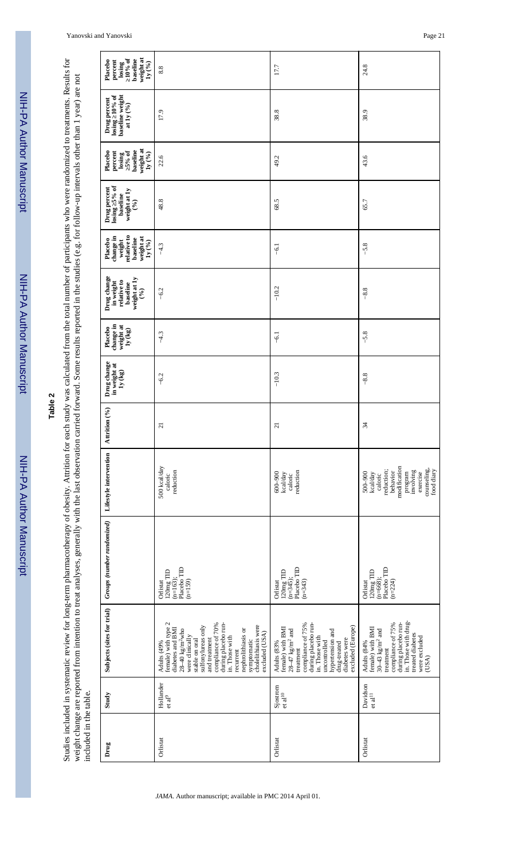| <b>Alline</b> |  |
|---------------|--|
|               |  |
|               |  |
|               |  |
|               |  |
|               |  |
|               |  |
|               |  |
|               |  |
|               |  |
| ļ             |  |
| ř             |  |
|               |  |
|               |  |
|               |  |
|               |  |
|               |  |
| <b>SAON</b>   |  |
|               |  |
|               |  |
|               |  |

# **Table 2**

Studies included in systematic review for long-term pharmacotherapy of obesity. Attrition for each study was calculated from the total number of participants who were randomized to treatments. Results for Studies included in systematic review for long-term pharmacotherapy of obesity. Attrition for each study was calculated from the total number of participants who were randomized to treatments. Results for weight change are reported from intention to treat analyses, generally with the last observation carried forward. Some results reported in the studies (e.g. for follow-up intervals other than 1 year) are not weight change are reported from intention to treat analyses, generally with the last observation carried forward. Some results reported in the studies (e.g. for follow-up intervals other than 1 year) are not included in the table. included in the table.

| weight at<br>$10\%$ of<br>baseline<br>Placebo<br>percent<br>1y(%)<br>losing              | 8.8                                                                                                                                                                                                                                                                                                                                                                           | 17.7                                                                                                                                                                                                                                | 24.8                                                                                                                                                                                            |
|------------------------------------------------------------------------------------------|-------------------------------------------------------------------------------------------------------------------------------------------------------------------------------------------------------------------------------------------------------------------------------------------------------------------------------------------------------------------------------|-------------------------------------------------------------------------------------------------------------------------------------------------------------------------------------------------------------------------------------|-------------------------------------------------------------------------------------------------------------------------------------------------------------------------------------------------|
| losing 10% of<br>baseline weight<br>Drug percent<br>at $1y(%)$                           | 17.9                                                                                                                                                                                                                                                                                                                                                                          | 38.8                                                                                                                                                                                                                                | 38.9                                                                                                                                                                                            |
| weight at<br>$1y\binom{9}{0}$<br>baseline<br>losing<br>5% of<br>Placebo<br>percent       | 22.6                                                                                                                                                                                                                                                                                                                                                                          | 49.2                                                                                                                                                                                                                                | 43.6                                                                                                                                                                                            |
| $\overline{\text{losing}}$ 5% of<br>Drug percent<br>weight at 1y<br>baseline<br>(2)      | 48.8                                                                                                                                                                                                                                                                                                                                                                          | 68.5                                                                                                                                                                                                                                | 65.7                                                                                                                                                                                            |
| relative to<br>weight at<br>$1y(%)$<br>change in<br>baseline<br><b>Placebo</b><br>weight | $-4.3$                                                                                                                                                                                                                                                                                                                                                                        | $-6.1$                                                                                                                                                                                                                              | $-5.8$                                                                                                                                                                                          |
| Drug change<br>weight at 1y<br>relative to<br>in weight<br>baseline<br>(96)              | $-6.2$                                                                                                                                                                                                                                                                                                                                                                        | $-10.2$                                                                                                                                                                                                                             | $-8.8$                                                                                                                                                                                          |
| change in<br>weight at<br>1y (kg)<br>Placebo                                             | $-4.3$                                                                                                                                                                                                                                                                                                                                                                        | $\overline{5}$                                                                                                                                                                                                                      | $-5.8$                                                                                                                                                                                          |
| Drug change<br>in weight at<br>$1y$ $(kg)$                                               | $-6.2$                                                                                                                                                                                                                                                                                                                                                                        | $-10.3$                                                                                                                                                                                                                             | $-8.8$                                                                                                                                                                                          |
| Attrition (%)                                                                            | $\overline{z}$                                                                                                                                                                                                                                                                                                                                                                | $\overline{z}$                                                                                                                                                                                                                      | 34                                                                                                                                                                                              |
| Lifestyle intervention                                                                   | 500 kcal/day<br>reduction<br>caloric                                                                                                                                                                                                                                                                                                                                          | reduction<br>$600 - 900$<br>kcal/day<br>caloric                                                                                                                                                                                     | modification<br>counseling,<br>food diary<br>reduction;<br>involving<br>behavior<br>program<br>exercise<br>$500 - 900$<br>kcal/day<br>caloric                                                   |
| Groups (number randomized)                                                               | Placebo TID<br>120mg TID<br>$(n=163);$<br>$(n=159)$<br>Orlistat                                                                                                                                                                                                                                                                                                               | Placebo TID<br>$120\text{mg}$ TID (n=345);<br>$(n=343)$<br>Orlistat                                                                                                                                                                 | Placebo TID<br>120mg TID<br>$(n=668);$<br>$(n=224)$<br>Orlistat                                                                                                                                 |
| Subjects (sites for trial)                                                               | $\begin{array}{c} {\rm compliance~of~70\%}\\ {\rm during~placebo~run}\\ {\rm in.~These~with}\\ \end{array}$<br>female) with type 2<br>cholelithiasis were<br>sulfonylureas only<br>diabetes and BMI<br>nephrolithiasis or<br>$28-40$ kg/m <sup>2</sup> who<br>excluded (USA)<br>were clinically<br>and treatment<br>stable on oral<br>symptomatic<br>Adults (49%<br>recurrent | during placebo run-<br>in. Those with<br>compliance of 75%<br>excluded (Europe)<br>female) with BMI<br>$28-47$ $\text{kg/m}^2$ and<br>hypertension and<br>diabetes were<br>Adults (83%<br>uncontrolled<br>drug-treated<br>treatment | in. Those with drug-<br>during placebo run-<br>compliance of 75%<br>female) with BMI<br>$30\text{--}43$ kg/m $^2$ and<br>treated diabetes<br>were excluded<br>Adults (84%<br>treatment<br>(USA) |
| Study                                                                                    | Hollander<br>et al <sup>9</sup>                                                                                                                                                                                                                                                                                                                                               | Sjostrom<br>$_{\rm et\,al^{10}}$                                                                                                                                                                                                    | Davidson<br>et al <sup>11</sup>                                                                                                                                                                 |
| Drug                                                                                     | Orlistat                                                                                                                                                                                                                                                                                                                                                                      | Orlistat                                                                                                                                                                                                                            | Orlistat                                                                                                                                                                                        |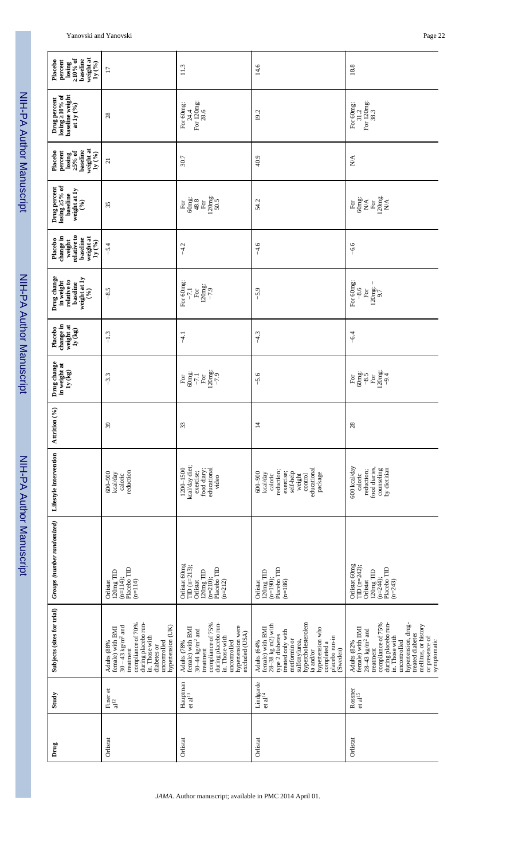| $10\%$ of<br>weight at<br>baseline<br>Placebo<br>percent<br>$1y~(^{9}/_{0})$<br>losing                      | $\overline{17}$                                                                                                                                                                                 | 11.3                                                                                                                                                                                           | 14.6                                                                                                                                                                                                                                     | 18.8                                                                                                                                                                                                                                                            |
|-------------------------------------------------------------------------------------------------------------|-------------------------------------------------------------------------------------------------------------------------------------------------------------------------------------------------|------------------------------------------------------------------------------------------------------------------------------------------------------------------------------------------------|------------------------------------------------------------------------------------------------------------------------------------------------------------------------------------------------------------------------------------------|-----------------------------------------------------------------------------------------------------------------------------------------------------------------------------------------------------------------------------------------------------------------|
| losing 10% of<br>baseline weight<br>Drug percent<br>at 1y $(%)$                                             | 28                                                                                                                                                                                              | For 120mg:<br>For 60mg:<br>24.4<br>28.6                                                                                                                                                        | 19.2                                                                                                                                                                                                                                     | For 120mg:<br>38.3<br>For 60mg:<br>31.2                                                                                                                                                                                                                         |
| weight at<br>baseline<br>Placebo<br>losing<br>5% of<br>percent<br>$1y~(^{9}/_{0})$                          | $\overline{c}$                                                                                                                                                                                  | 30.7                                                                                                                                                                                           | 40.9                                                                                                                                                                                                                                     | $\sum_{i=1}^{n}$                                                                                                                                                                                                                                                |
| Drug percent<br>losing 5% of<br>baseline<br>weight at 1y<br>(%)                                             | 35                                                                                                                                                                                              | 120mg:<br>50.5<br>$\frac{48.8}{48.8}$<br>$\overline{\mathrm{F}}$ or                                                                                                                            | 54.2                                                                                                                                                                                                                                     | For<br>60mg:<br>N/A<br>Eor<br>120mg:<br>N/A                                                                                                                                                                                                                     |
| relative to<br>change in<br>weight at<br>baseline<br>Placebo<br>weight<br>$1y~(^{\mathrm{o}\!/\mathrm{o}})$ | $-5.4$                                                                                                                                                                                          | $-4.2$                                                                                                                                                                                         | $-4.6$                                                                                                                                                                                                                                   | $-6.6$                                                                                                                                                                                                                                                          |
| Drug change<br>weight at 1y<br>relative to<br>in weight<br>baseline<br>(96)                                 | $-8.5$                                                                                                                                                                                          | For 60mg:<br>For<br>120mg:<br>$-7.9$<br>$-7.1$                                                                                                                                                 | $-5.9$                                                                                                                                                                                                                                   | For 60mg:<br>$-8.6$<br>$120mg:-$<br>9.7<br>$_{\rm For}$                                                                                                                                                                                                         |
| change in<br>weight at<br>Placebo<br>$1y$ $(kg)$                                                            | $-1.3$                                                                                                                                                                                          | $\frac{1}{4}$                                                                                                                                                                                  | $-4.3$                                                                                                                                                                                                                                   | $-6.4$                                                                                                                                                                                                                                                          |
| Drug change<br>in weight at<br>$1y$ (kg)                                                                    | $-3.3$                                                                                                                                                                                          | $120mg: -7.9$<br>$\frac{-7.1}{F \text{or}}$<br>$_{\rm For}$                                                                                                                                    | $-5.6$                                                                                                                                                                                                                                   | 60mg:<br>$-8.5$<br>For<br>120mg:<br>$-9.4$<br>${\rm For}$                                                                                                                                                                                                       |
| Attrition (%)                                                                                               | $\overline{39}$                                                                                                                                                                                 | 33                                                                                                                                                                                             | $\overline{4}$                                                                                                                                                                                                                           | $28$                                                                                                                                                                                                                                                            |
| Lifestyle intervention                                                                                      | reduction<br>$600 - 900$<br>$\rm kcal/day$<br>caloric                                                                                                                                           | kcal/day diet;<br>1200-1500<br>educational<br>food diary;<br>exercise;<br>video                                                                                                                | educational<br>reduction;<br>self-help<br>exercise;<br>$600 - 900$<br>kcal/day<br>package<br>$\mbox{control}$<br>caloric<br>weight                                                                                                       | 600 kcal/day<br>food diaries,<br>by dietitian<br>counseling<br>reduction;<br>caloric                                                                                                                                                                            |
| Groups (number randomized)                                                                                  | Placebo TID<br>$\begin{array}{c} 120\text{mg TID}\\ \text{(n=114)};\end{array}$<br>$(n=114)$<br>Orlistat                                                                                        | Orlistat 60mg<br>$TID (n=213);$<br>Placebo <sub>TD</sub><br>$120\text{mg}$ TID<br>(n=210);<br>Orlistat<br>$(n=212)$                                                                            | Placebo TID<br>120mg TID<br>$(n=190);$<br>$(n=186)$<br>Orlistat                                                                                                                                                                          | Orlistat 60mg<br>TID (n=242);<br>Placebo TID<br>120mg TID<br>$(n=244);$<br>Orlistat<br>$(n=243)$                                                                                                                                                                |
| Subjects (sites for trial)                                                                                  | compliance of 70%<br>during placebo run-<br>uncontrolled<br>hypertension (UK)<br>$30-43$ kg/m <sup>2</sup> and<br>female) with BMI<br>in. Those with<br>Adults (88%<br>diabetes or<br>treatment | during placebo run-<br>in. Those with<br>compliance of 75%<br>hypertension were<br>female) with BMI<br>30–44 $\text{kg/m}^2$ and<br>excluded (USA)<br>uncontrolled<br>Adults (78%<br>treatment | hypercholesterolem<br>$28 - 38$ kg m $2)$ with<br>female) with BMI<br>hypertension who<br>treated only with<br>type 2 diabetes<br>placebo run-in<br>metformin or<br>sulfonylurea,<br>Adults (64%<br>completed a<br>(Sweden)<br>ia and/or | during placebo run-<br>in. Those with<br>hypertension, drug-<br>compliance of 75%<br>mellitus, or history<br>female) with BMI<br>$28-43$ kg/m <sup>2</sup> and<br>treated diabetes<br>or presence of<br>symptomatic<br>uncontrolled<br>Adults (82%<br>treatment |
| Study                                                                                                       | Finer et al $^{12}$                                                                                                                                                                             | Hauptman<br>$et$ al $^{13}$                                                                                                                                                                    | Lindgarde<br>et al <sup>14</sup>                                                                                                                                                                                                         | Rossner<br>et al <sup>15</sup>                                                                                                                                                                                                                                  |
| Drug                                                                                                        | Orlistat                                                                                                                                                                                        | Orlistat                                                                                                                                                                                       | Orlistat                                                                                                                                                                                                                                 | Orlistat                                                                                                                                                                                                                                                        |

NIH-PA Author Manuscript

NIH-PA Author Manuscript

NIH-PA Author Manuscript

NIH-PA Author Manuscript

NIH-PA Author Manuscript

NIH-PA Author Manuscript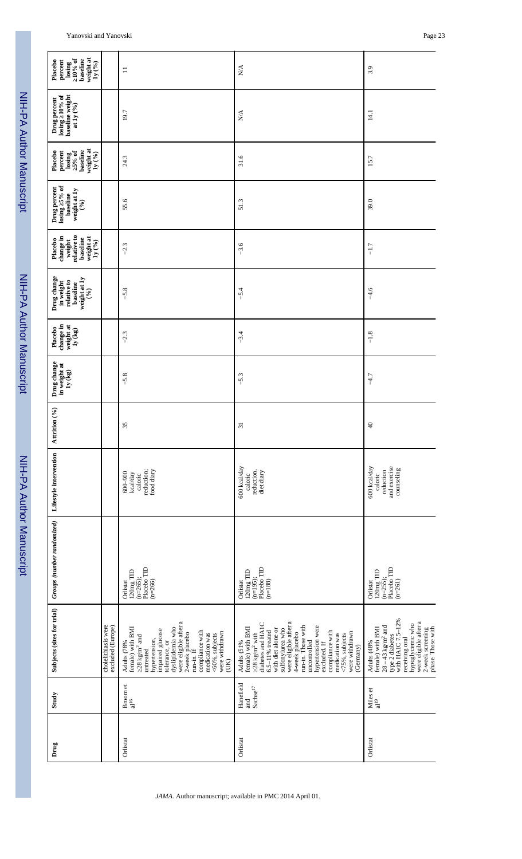| $10\%$ of<br>weight at<br>$1y\binom{9}{0}$<br>baseline<br>Placebo<br>percent<br>losing     |                                          | $\equiv$                                                                                                                                                                                                                                                                                     | $\sum_{i=1}^{n}$                                                                                                                                                                                                                                                                                                                                                     | 3.9                                                                                                                                                                                                              |
|--------------------------------------------------------------------------------------------|------------------------------------------|----------------------------------------------------------------------------------------------------------------------------------------------------------------------------------------------------------------------------------------------------------------------------------------------|----------------------------------------------------------------------------------------------------------------------------------------------------------------------------------------------------------------------------------------------------------------------------------------------------------------------------------------------------------------------|------------------------------------------------------------------------------------------------------------------------------------------------------------------------------------------------------------------|
| Drug percent<br>losing 10% of<br>baseline weight<br>at $1y(%)$                             |                                          | 19.7                                                                                                                                                                                                                                                                                         | $\sum_{i=1}^{n}$                                                                                                                                                                                                                                                                                                                                                     | $\frac{1}{4}$                                                                                                                                                                                                    |
| weight at<br>$Iy\binom{9}{0}$<br>baseline<br>$5%$ of<br>Placebo<br>percent<br>losing       |                                          | 24.3                                                                                                                                                                                                                                                                                         | 31.6                                                                                                                                                                                                                                                                                                                                                                 | 15.7                                                                                                                                                                                                             |
| $\text{losing} \ \ 5\% \ \text{of}$ baseline<br>Drug percent<br>weight at 1y<br>(%)        |                                          | 55.6                                                                                                                                                                                                                                                                                         | 51.3                                                                                                                                                                                                                                                                                                                                                                 | 39.0                                                                                                                                                                                                             |
| relative to<br>weight at<br>change in<br>baseline<br>Placebo<br>weight<br>$1y~(^{9}/_{0})$ |                                          | $-2.3$                                                                                                                                                                                                                                                                                       | $-3.6$                                                                                                                                                                                                                                                                                                                                                               | $-1.7$                                                                                                                                                                                                           |
| Drug change<br>weight at 1y<br>in weight<br>relative to<br>baseline<br>(96)                |                                          | $-5.8$                                                                                                                                                                                                                                                                                       | $-5.4$                                                                                                                                                                                                                                                                                                                                                               | $-4.6$                                                                                                                                                                                                           |
| change in<br>weight at<br>Placebo<br>$1y$ $(kg)$                                           |                                          | $-2.3$                                                                                                                                                                                                                                                                                       | $-3.4$                                                                                                                                                                                                                                                                                                                                                               | $-1.8$                                                                                                                                                                                                           |
| Drug change<br>in weight at<br>$1y$ $(kg)$                                                 |                                          | $-5.8$                                                                                                                                                                                                                                                                                       | $-5.3$                                                                                                                                                                                                                                                                                                                                                               | $-4.7$                                                                                                                                                                                                           |
| Attrition (%)                                                                              |                                          | 35                                                                                                                                                                                                                                                                                           | $\overline{31}$                                                                                                                                                                                                                                                                                                                                                      | $\sqrt{4}$                                                                                                                                                                                                       |
| Lifestyle intervention                                                                     |                                          | reduction;<br>food diary<br>$600 - 900$<br>kcal/day<br>caloric                                                                                                                                                                                                                               | 600 kcal/day<br>reduction,<br>diet diary<br>caloric                                                                                                                                                                                                                                                                                                                  | 600 kcal/day<br>and exercise<br>counseling<br>reduction<br>caloric                                                                                                                                               |
| Groups (number randomized)                                                                 |                                          | Placebo <sub>TD</sub><br>120mg TID<br>$(n=265);$<br>$(n=266)$<br>Orlistat                                                                                                                                                                                                                    | Placebo TID<br>120mg TID<br>(n=195);<br>$(n=188)$<br>Orlistat                                                                                                                                                                                                                                                                                                        | Placebo <sub>TID</sub><br>$120\text{mg}$ TID<br>(n=255);<br>$(n=261)$<br>Orlistat                                                                                                                                |
| Subjects (sites for trial)                                                                 | cholelithiasis were<br>excluded (Europe) | were eligible after a<br>2-week placebo<br>run-in. If<br>tolerance, or<br>dyslipidemia who<br>female) with BMI<br>impaired glucose<br>compliance with<br>were withdrawn<br>medication was<br><60%, subjects<br>$28~\mathrm{kg/m^2}$ and<br>hypertension,<br>Adults (78%<br>untreated<br>(UK) | were eligible after a<br>4-week placebo<br>$28 \text{ kg/m}^2 \text{ with}$ diabetes and HA1C<br>run-in. Those with<br>hypertension were<br>female) with BMI<br>sulfonylurea who<br>with diet alone or<br>$6.5-11\%$ treated<br>compliance with<br>were withdrawn<br>medication was<br>$<$ 75%, subjects<br>uncontrolled<br>Adults (51%<br>excluded. If<br>(Germany) | type 2 diabetes<br>with HA1C 7.5-12%<br>were eligible after a<br>2-week screening<br>phase. Those with<br>hypoglycemic who<br>$28-43$ kg/m <sup>2</sup> and<br>female) with BMI<br>receiving oral<br>Adults (48% |
| Study                                                                                      |                                          | Broom et<br>$\rm al^{16}$                                                                                                                                                                                                                                                                    | Hanefield<br>$\ensuremath{\mathrm{Sachse}^{17}}$<br>and                                                                                                                                                                                                                                                                                                              | Miles et $_{\mathrm{al}^{19}}$                                                                                                                                                                                   |
| Drug                                                                                       |                                          | Orlistat                                                                                                                                                                                                                                                                                     | Orlistat                                                                                                                                                                                                                                                                                                                                                             | Orlistat                                                                                                                                                                                                         |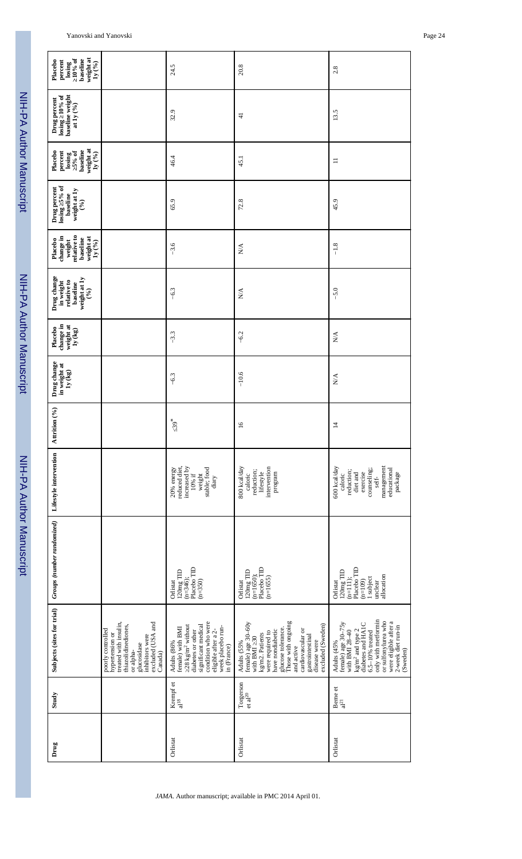| weight at<br>$10\%$ of<br>baseline<br><b>Placebo</b><br>percent<br>$1y~(^{9}/_{0})$<br>losing                  |                                                                                                                                                                     | 24.5                                                                                                                                                                                      | 20.8                                                                                                                                                                                                                                                | 2.8                                                                                                                                                                                                                                       |
|----------------------------------------------------------------------------------------------------------------|---------------------------------------------------------------------------------------------------------------------------------------------------------------------|-------------------------------------------------------------------------------------------------------------------------------------------------------------------------------------------|-----------------------------------------------------------------------------------------------------------------------------------------------------------------------------------------------------------------------------------------------------|-------------------------------------------------------------------------------------------------------------------------------------------------------------------------------------------------------------------------------------------|
| losing $10\%$ of<br>baseline weight<br>at $1y$ (%)<br>Drug percent                                             |                                                                                                                                                                     | 32.9                                                                                                                                                                                      | $\frac{1}{4}$                                                                                                                                                                                                                                       | 13.5                                                                                                                                                                                                                                      |
| weight at<br>baseline<br>Placebo<br>losing<br>5% of<br>percent<br>1y(%)                                        |                                                                                                                                                                     | 46.4                                                                                                                                                                                      | 45.1                                                                                                                                                                                                                                                | $\equiv$                                                                                                                                                                                                                                  |
| $\text{Ising}$ 5% of<br>Drug percent<br>weight at 1y<br>baseline<br>(%)                                        |                                                                                                                                                                     | 65.9                                                                                                                                                                                      | 72.8                                                                                                                                                                                                                                                | 45.9                                                                                                                                                                                                                                      |
| relative to<br>weight at<br>change in<br>baseline<br><b>Placebo</b><br>weight<br>$1y$ $\left(^{9}/_{0}\right)$ |                                                                                                                                                                     | $-3.6$                                                                                                                                                                                    | $\sum_{i=1}^{n}$                                                                                                                                                                                                                                    | $-1.8$                                                                                                                                                                                                                                    |
| Drug change<br>weight at 1y<br>relative to<br>in weight<br>baseline<br>(%)                                     |                                                                                                                                                                     | $-6.3$                                                                                                                                                                                    | $\stackrel{\triangle}{\approx}$                                                                                                                                                                                                                     | $-5.0$                                                                                                                                                                                                                                    |
| change in<br>weight at<br>$I_y$ (kg)<br>Placebo                                                                |                                                                                                                                                                     | $-3.3$                                                                                                                                                                                    | $-6.2$                                                                                                                                                                                                                                              | $\sum_{i=1}^{n}$                                                                                                                                                                                                                          |
| Drug change<br>in weight at<br>$1y$ $(kg)$                                                                     |                                                                                                                                                                     | $-6.3$                                                                                                                                                                                    | $-10.6$                                                                                                                                                                                                                                             | $\stackrel{\triangle}{\approx}$                                                                                                                                                                                                           |
| Attrition (%)                                                                                                  |                                                                                                                                                                     | $39*$                                                                                                                                                                                     | $\overline{16}$                                                                                                                                                                                                                                     | $\overline{4}$                                                                                                                                                                                                                            |
| Lifestyle intervention                                                                                         |                                                                                                                                                                     | reduced diet,<br>increased by<br>stable; food<br>20% energy<br>$10\%$ if<br>weight<br>diary                                                                                               | 800 kcal/day<br>intervention<br>reduction;<br>lifestyle<br>program<br>caloric                                                                                                                                                                       | management<br>600 kcal/day<br>counseling;<br>educational<br>reduction;<br>exercise<br>package<br>diet and<br>caloric<br>self-                                                                                                             |
| Groups (number randomized)                                                                                     |                                                                                                                                                                     | Placebo TID<br>120mg TID<br>$(n=346);$<br>Orlistat<br>$(n=350)$                                                                                                                           | Placebo TID<br>120mgTID<br>$(n=1650)$ ;<br>$(n=1655)$<br>Orlistat                                                                                                                                                                                   | Placebo TID<br>$\begin{array}{c} 120\text{mg TID}\\ \text{(n=111)};\end{array}$<br>allocation<br>I subject<br>$(n=109)$<br>Orlistat<br>unclear                                                                                            |
| Subjects (sites for trial)                                                                                     | treated with insulin,<br>excluded (USA and<br>thiazolidinediones,<br>poorly controlled<br>hypertension or<br>inhibitors were<br>glucosidase<br>or alpha-<br>Canada) | condition who were<br>significant medical<br>$28~{\rm kg/m^2}$ without<br>week placebo run-<br>Adults (86%<br>female) with BMI<br>eligible after a 2-<br>diabetes or other<br>in (France) | Those with ongoing<br>female) age 30–60y<br>with BMI 30<br>excluded (Sweden)<br>glucose tolerance.<br>have nondiabetic<br>cardiovascular or<br>were required to<br>kg/m2. Patients<br>gastrointestinal<br>disease were<br>Adults (55%<br>and active | only with metformin<br>or sulfonylurea who<br>were eligible after a<br>diabetes and HA1C<br>female) age $30-75y$<br>with BMI 28-40<br>2-week diet run-in<br>kg/m <sup>2</sup> and type 2<br>$6.5-10\%$ treated<br>Adults (45%<br>(Sweden) |
| Study                                                                                                          |                                                                                                                                                                     | Krempf et $_{\mathrm{al}^{18}}$                                                                                                                                                           | Torgerson<br>et al <sup>20</sup>                                                                                                                                                                                                                    | Berne et<br>al <sup>21</sup>                                                                                                                                                                                                              |
| Drug                                                                                                           |                                                                                                                                                                     | Orlistat                                                                                                                                                                                  | Orlistat                                                                                                                                                                                                                                            | Orlistat                                                                                                                                                                                                                                  |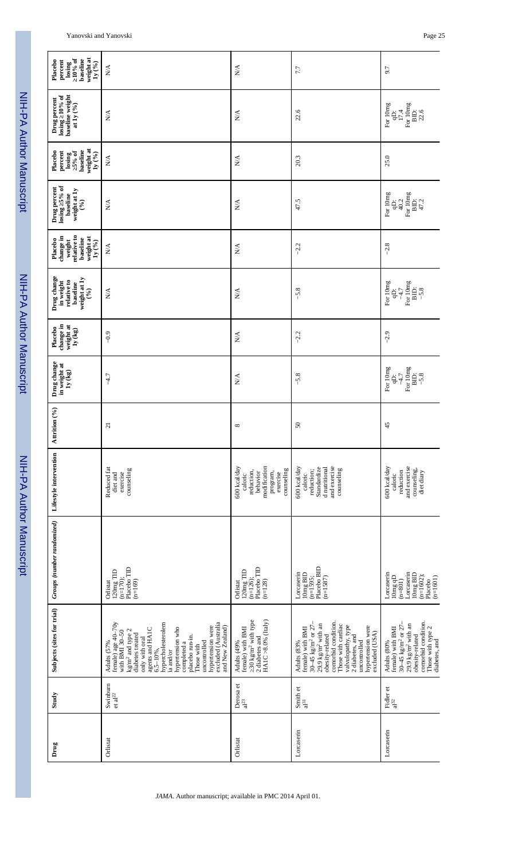| weight at<br>$\frac{\text{losing}}{10\% \text{ of }}$<br>baseline<br><b>Placebo</b><br>percent<br>1y(0/6)      | $\mathbb{N}\mathbb{A}$                                                                                                                                                                                                                                                                                                                      | $\sum_{i=1}^{n}$                                                                                         | 7.7                                                                                                                                                                                                                                                               | 9.7                                                                                                                                                                              |
|----------------------------------------------------------------------------------------------------------------|---------------------------------------------------------------------------------------------------------------------------------------------------------------------------------------------------------------------------------------------------------------------------------------------------------------------------------------------|----------------------------------------------------------------------------------------------------------|-------------------------------------------------------------------------------------------------------------------------------------------------------------------------------------------------------------------------------------------------------------------|----------------------------------------------------------------------------------------------------------------------------------------------------------------------------------|
| Drug percent<br>losing 10% of<br>baseline weight<br>at 1y $(\%)$                                               | $\stackrel{\triangle}{\approx}$                                                                                                                                                                                                                                                                                                             | $\sum_{i=1}^{n}$                                                                                         | 22.6                                                                                                                                                                                                                                                              | For 10mg<br>BID:<br>$22.6$<br>For 10mg<br>17.4<br>ġ                                                                                                                              |
| weight at<br>baseline<br>$\frac{\text{losing}}{\text{5% of}}$<br>Placebo<br>percent<br>${\bf 1y}$ $({\it 96})$ | $\mathop{\mathsf{N}}\nolimits\lambda$                                                                                                                                                                                                                                                                                                       | $\sum_{i=1}^{n}$                                                                                         | 20.3                                                                                                                                                                                                                                                              | 25.0                                                                                                                                                                             |
| $\frac{1}{\text{cosing}}$ 5% of<br>baseline<br>Drug percent<br>weight at 1y<br>(%)                             | $\sum_{i=1}^{n}$                                                                                                                                                                                                                                                                                                                            | $\sum_{i=1}^{n}$                                                                                         | 47.5                                                                                                                                                                                                                                                              | For 10mg<br>For $10\text{mg}$ BID:<br>40.2<br>ġ<br>47.2                                                                                                                          |
| relative to<br>change in<br>weight at<br>baseline<br><b>Placebo</b><br>weight<br>$1y^{\bar{}}(%)$              | N/A                                                                                                                                                                                                                                                                                                                                         | $\sum_{i=1}^{n}$                                                                                         | $-2.2$                                                                                                                                                                                                                                                            | $-2.8$                                                                                                                                                                           |
| Drug change<br>weight at 1y<br>relative to<br>in weight<br>baseline<br>(96)                                    | $\stackrel{\triangle}{\geq}$                                                                                                                                                                                                                                                                                                                | $\sum_{i=1}^{n}$                                                                                         | $-5.8$                                                                                                                                                                                                                                                            | For 10mg<br>For 10mg<br>$-4.7$<br>BID:<br>$-5.8$<br>Ġ.                                                                                                                           |
| change in<br>weight at<br>1y (kg)<br><b>Placebo</b>                                                            | $-0.9$                                                                                                                                                                                                                                                                                                                                      | $\sum_{i=1}^{n}$                                                                                         | $-2.2$                                                                                                                                                                                                                                                            | $-2.9$                                                                                                                                                                           |
| Drug change<br>in weight at<br>$Iy$ (kg)                                                                       | $-4.7$                                                                                                                                                                                                                                                                                                                                      | $\sum_{i=1}^{n}$                                                                                         | $-5.8$                                                                                                                                                                                                                                                            | For 10mg<br>For 10mg<br>BID:<br>$7+$<br>$-5.8$<br>$\ddot{\theta}$                                                                                                                |
| Attrition (%)                                                                                                  | $\overline{a}$                                                                                                                                                                                                                                                                                                                              | ${}^{\circ}$                                                                                             | $50\,$                                                                                                                                                                                                                                                            | 45                                                                                                                                                                               |
| Lifestyle intervention                                                                                         | Reduced fat<br>counseling<br>exercise<br>diet and                                                                                                                                                                                                                                                                                           | modification<br>600 kcal/day<br>counseling<br>reduction,<br>program,<br>behavior<br>exercise<br>caloric  | and exercise<br>600 kcal/day<br>Standardize<br>d nutritional<br>counseling<br>reduction;<br>caloric                                                                                                                                                               | 600 kcal/day<br>and exercise<br>counseling,<br>reduction<br>diet diary<br>caloric                                                                                                |
| Groups (number randomized)                                                                                     | Placebo <sub>TID</sub><br>$\begin{array}{c} 120\text{mg TID}\\ \text{(n=170)};\end{array}$<br>$(n=169)$<br>Orlistat                                                                                                                                                                                                                         | Placebo <sub>TID</sub><br>120mg TID<br>$(n=126);$<br>$(n=128)$<br>Orlistat                               | Placebo BID<br>$\underset{\text{in=1595;}}{\text{long BID}}$<br><b>Lorcaserin</b><br>$(n=1587)$                                                                                                                                                                   | Lorcaserin $10\text{mg}\; \text{qD}$<br>Lorcaserin<br>$\overline{\text{10mg BID}}$ (n=1602);<br>$(n=1601)$<br>Placebo<br>$(n=801)$                                               |
| Subjects (sites for trial)                                                                                     | hypercholesterolem<br>excluded (Australia<br>female) age 40-70y<br>with BMI 30-50<br>hypertension were<br>and New Zealand)<br>hypertension who<br>agents and HAIC<br>$kg/m2$ and type 2<br>diabetes treated<br>placebo run-in.<br>only with oral<br>uncontrolled<br>Adults (57%<br>completed a<br>Those with<br>$6.5 - 10\%$ ,<br>ia and/or | $30 \text{ kg/m}^2$ with type<br>2 diabetes and $HAIC > 8.0%$ (Italy)<br>female) with BMI<br>Adults (49% | comorbid condition.<br>30–45 kg/m <sup>2</sup> or 27-<br>29.9 $\text{kg/m}^2$ with an<br>Those with cardiac<br>valvulopathy, type<br>hypertension were<br>Adults (83%<br>female) with BMI<br>excluded (USA)<br>2 diabetes, and<br>obesity-related<br>uncontrolled | obesity-related<br>comorbid condition.<br>30–45 $\text{kg/m}^2$ or 27-<br>29.9 kg/m <sup>2</sup> with an<br>Those with type $2$ diabetes, and<br>Adults (80%<br>female) with BMI |
| Study                                                                                                          | Swinburn<br>et al <sup>22</sup>                                                                                                                                                                                                                                                                                                             | Derosa et<br>al <sup>23</sup>                                                                            | Smith et $a^{31}$                                                                                                                                                                                                                                                 | Fidler et<br>al <sup>32</sup>                                                                                                                                                    |
| Drug                                                                                                           | Orlistat                                                                                                                                                                                                                                                                                                                                    | Orlistat                                                                                                 | Lorcaserin                                                                                                                                                                                                                                                        | Lorcaserin                                                                                                                                                                       |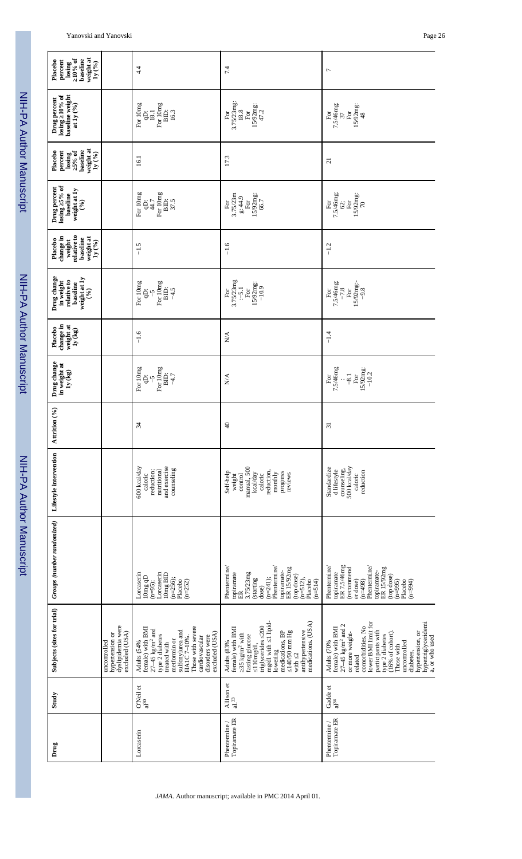| $\begin{array}{c} \hbox{losing} \\ 10\% \hbox{ of} \end{array}$<br>weight at<br>baseline<br><b>Placebo</b><br>percent<br>$1y\ (%)$ |                                                                        | 4.4                                                                                                                                                                                                                               | 7.4                                                                                                                                                                                                                                                            | $\overline{ }$                                                                                                                                                                                                                                                                                                     |
|------------------------------------------------------------------------------------------------------------------------------------|------------------------------------------------------------------------|-----------------------------------------------------------------------------------------------------------------------------------------------------------------------------------------------------------------------------------|----------------------------------------------------------------------------------------------------------------------------------------------------------------------------------------------------------------------------------------------------------------|--------------------------------------------------------------------------------------------------------------------------------------------------------------------------------------------------------------------------------------------------------------------------------------------------------------------|
| Drug percent<br>losing 10% of<br>baseline weight<br>at 1y $(\%)$                                                                   |                                                                        | For 10mg<br>For 10mg<br>BID:<br>181<br>16.3<br>ġ                                                                                                                                                                                  | $3.75/23mg:$<br>18.8<br>$15/92mg:$<br>$47.2$<br>For<br>For                                                                                                                                                                                                     | $7.5/46$ mg:<br>$37$<br>15/92mg:<br>$\mathop{\text{For}}$<br>For<br>48                                                                                                                                                                                                                                             |
| weight at<br>baseline<br><b>Placebo</b><br>losing<br>5% of<br>percent<br>$1y~(^{9}/_{0})$                                          |                                                                        | 16.1                                                                                                                                                                                                                              | 17.3                                                                                                                                                                                                                                                           | ಸ                                                                                                                                                                                                                                                                                                                  |
| Drug percent<br>losing 5% of<br>baseline<br>weight at 1y<br>(°)                                                                    |                                                                        | For 10mg<br>For $10\text{mg}$ BID:<br>37.5<br>44.7<br>ġ                                                                                                                                                                           | 3.75/23m<br>$15/92mg:$<br>$66.7$<br>$_{\rm{For}}^{g:44.9}$<br>$_{\rm For}$                                                                                                                                                                                     | 7.5/46mg:<br>$\frac{15/92mg}{70}$<br>$_{\rm For}$<br>62;<br>For                                                                                                                                                                                                                                                    |
| relative to<br>change in<br>weight at<br>baseline<br><b>Placebo</b><br>weight<br>$1y~(^{9}/_{0})$                                  |                                                                        | $-1.5$                                                                                                                                                                                                                            | $-1.6$                                                                                                                                                                                                                                                         | $-1.2$                                                                                                                                                                                                                                                                                                             |
| Drug change<br>weight at 1y<br>relative to<br>in weight<br>baseline<br>(9/6)                                                       |                                                                        | For 10mg<br>For 10mg<br>BID:<br>$-4.5$<br>ġ<br>$\zeta-$                                                                                                                                                                           | For<br>3.75/23mg<br>$:-5.1$<br>$15/92mg:$<br>-10.9<br>$\mathop{\text{For}}$                                                                                                                                                                                    | $15/92mg:-$<br>-9.8<br>$7.5/46$ mg:<br>-7.8<br>$\mathop{\text{For}}$<br>$\mathop{\text{For}}$                                                                                                                                                                                                                      |
| change in<br>weight at<br>Placebo<br>$1y$ $(kg)$                                                                                   |                                                                        | $-1.6$                                                                                                                                                                                                                            | $\sum_{i=1}^{n}$                                                                                                                                                                                                                                               | $-1.4$                                                                                                                                                                                                                                                                                                             |
| Drug change<br>in weight at<br>$I_y$ (kg)                                                                                          |                                                                        | For 10mg<br>For 10mg<br>BID:<br>ġ.<br>$-4.7$<br>$\tilde{f}$                                                                                                                                                                       | $\stackrel{\triangle}{\geq}$                                                                                                                                                                                                                                   | 7.5/46mg<br>$15/92mg:$<br>-10.2<br>$-8.1$<br>$_{\rm For}$<br>For                                                                                                                                                                                                                                                   |
| Attrition (%)                                                                                                                      |                                                                        | $\overline{34}$                                                                                                                                                                                                                   | $\overline{4}$                                                                                                                                                                                                                                                 | $\overline{31}$                                                                                                                                                                                                                                                                                                    |
| Lifestyle intervention                                                                                                             |                                                                        | and exercise<br>600 kcal/day<br>counseling<br>nutritional<br>reduction;<br>caloric                                                                                                                                                | manual, 500<br>reduction.<br>Self-help<br>kcal/day<br>monthly<br>progress<br>reviews<br>caloric<br>weight<br>control                                                                                                                                           | 500 kcal/day<br>Standardize<br>counseling,<br>d lifestyle<br>reduction<br>caloric                                                                                                                                                                                                                                  |
| Groups (number randomized)                                                                                                         |                                                                        | Lorcaserin<br>orcaserin<br>10mg BID<br>$10mg$ qD<br>$(n=256);$<br>Placebo<br>$(n=252)$<br>$(n=95);$                                                                                                                               | Phentermine<br>Phentermine<br>ER 15/92mg<br>topiramate-<br>topiramate<br>3.75/23mg<br>(top dose)<br>$(n=241)$ :<br>$(n=512)$ ,<br>(starting<br>Placebo<br>$(n=514)$<br>dose)<br>E                                                                              | ER 7.5/46mg<br>Phentermine<br>Phentermine/<br>ER 15/92mg<br>(recommend<br>topiramate-<br>topiramate<br>(top dose)<br>$(n=995)$<br>er dose)<br>$(n=498)$<br>Placebo<br>$(n=994)$                                                                                                                                    |
| Subjects (sites for trial)                                                                                                         | dyslipidemia were<br>excluded (USA)<br>hypertension or<br>uncontrolled | Those with severe<br>female) with BMI<br>$27-45$ kg/m <sup>2</sup> and<br>type 2 diabetes<br>sulfonylurea and<br>excluded (USA)<br>HAIC 7-10%.<br>cardiovascular<br>disorders were<br>metformin or<br>Adults (54%<br>treated with | medications. (USA)<br>mg/dl with 1 lipid-<br>triglycerides 200<br>female) with BMI<br>antihypertensive<br>medications, $BP$<br>140/90 mm $Hg$<br>35 $\text{kg/m}^2$ with<br>fasting glucose<br>Adults (83%<br>$110mg/dl$<br>lowering<br>$\mathfrak{g}$<br>with | lower BMI limit for<br>hypertriglyceridemi<br>a, or who used<br>$27\text{--}45$ kg/m $^2$ and $2$<br>comorbidities. No<br>female) with BMI<br>participants with<br>type 2 diabetes<br>hypertension, or<br>or more weight-<br>(16% of cohort).<br>uncontrolled<br>Adults (70%<br>Those with<br>diabetes,<br>related |
| Study                                                                                                                              |                                                                        | O'Neil et<br>$\sin^2$                                                                                                                                                                                                             | Allison et<br>al. <sup>33</sup>                                                                                                                                                                                                                                | Gadde et<br>$\rm a^{34}$                                                                                                                                                                                                                                                                                           |
| Drug                                                                                                                               |                                                                        | Lorcaserin                                                                                                                                                                                                                        | Topiramate ER<br>Phentermine/                                                                                                                                                                                                                                  | Topiramate ER<br>Phentermine/                                                                                                                                                                                                                                                                                      |

Yanovski and Yanovski Page 26

NIH-PA Author Manuscript

*JAMA*. Author manuscript; available in PMC 2014 April 01.

NIH-PA Author Manuscript NIH-PA Author Manuscript